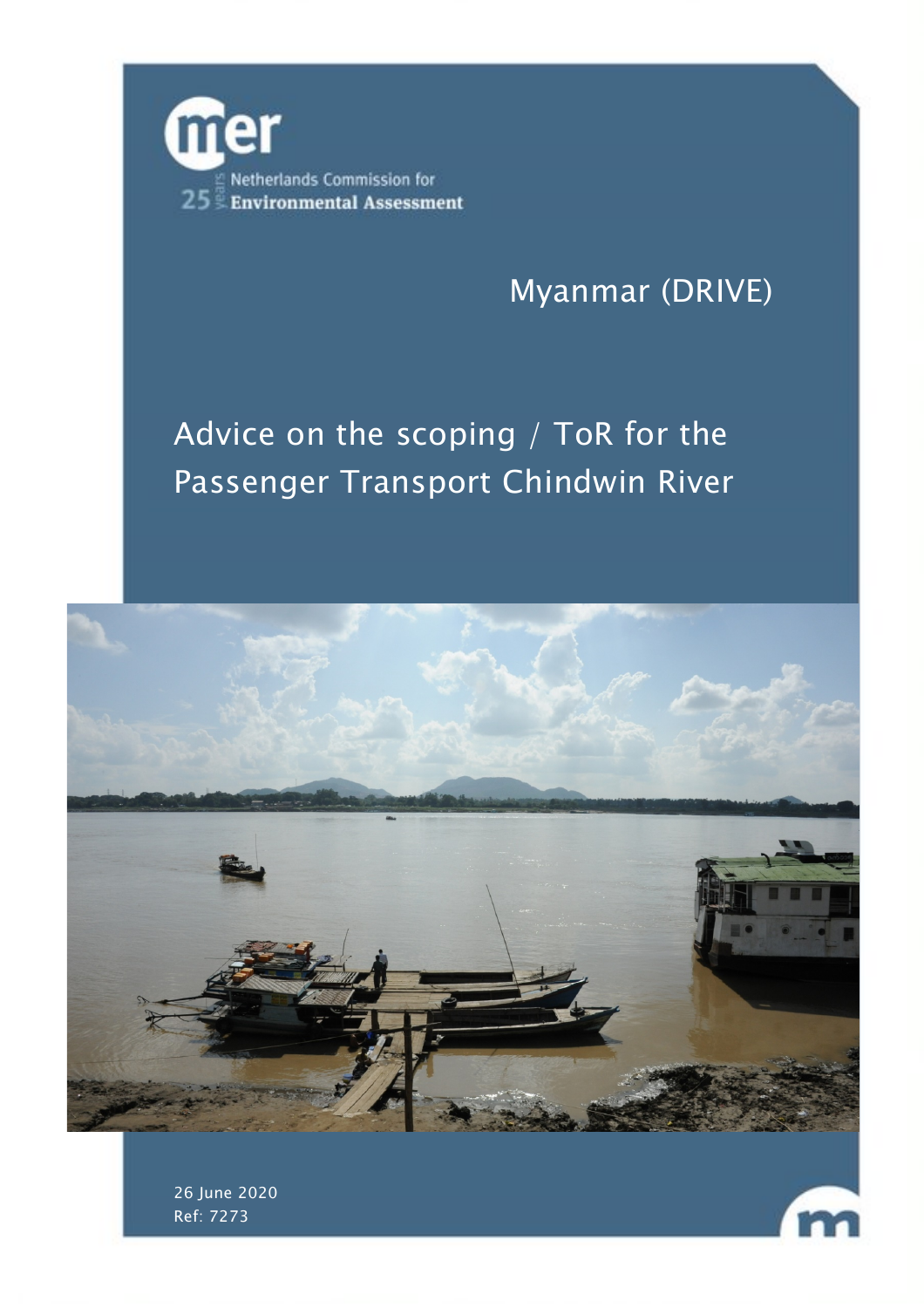

# Myanmar (DRIVE)

# Advice on the scoping / ToR for the Passenger Transport Chindwin River





26 June 2020 Ref: 7273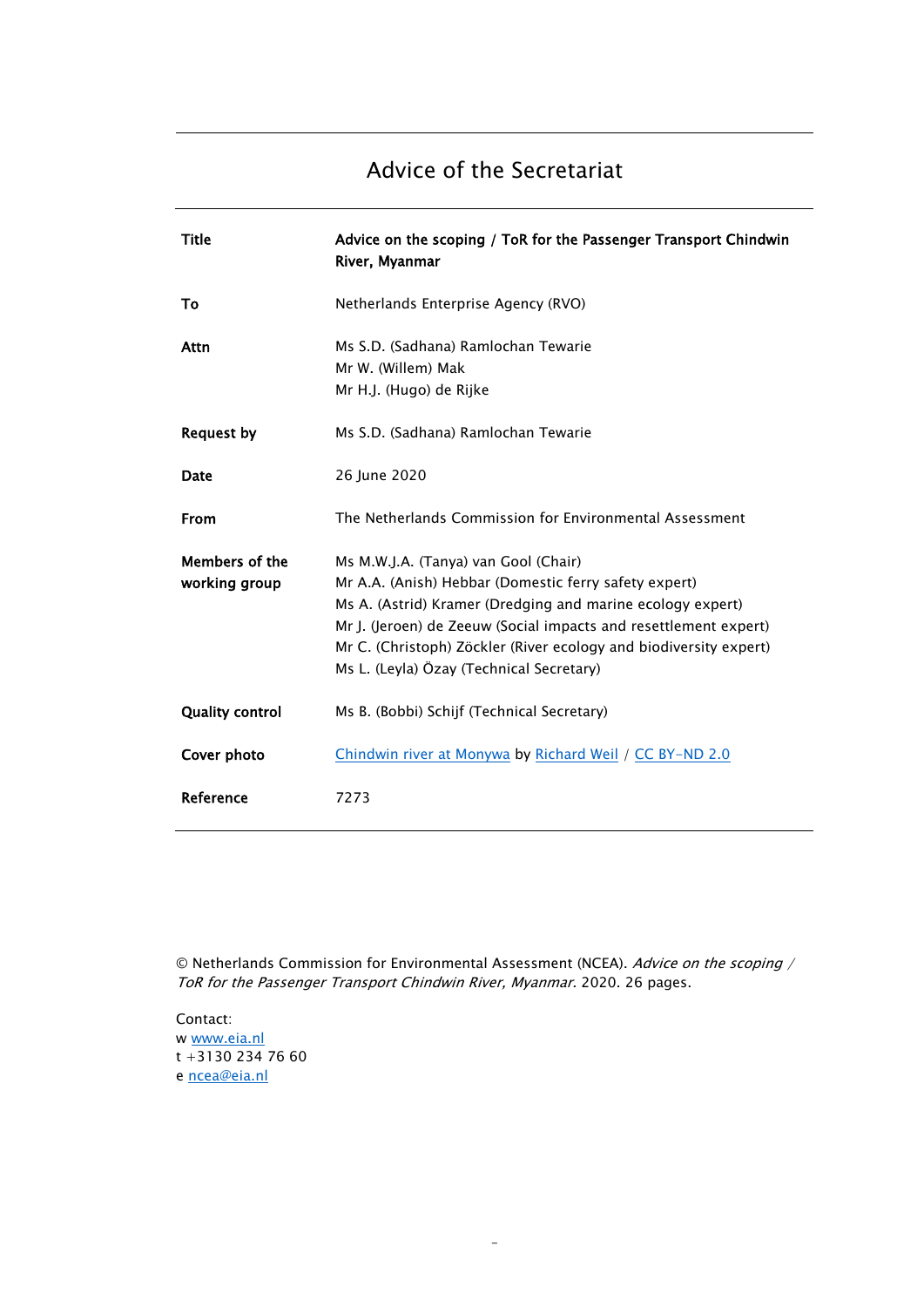## Advice of the Secretariat

| Title                           | Advice on the scoping / ToR for the Passenger Transport Chindwin<br>River, Myanmar                                                                                                                                                                                                                                                               |
|---------------------------------|--------------------------------------------------------------------------------------------------------------------------------------------------------------------------------------------------------------------------------------------------------------------------------------------------------------------------------------------------|
| To                              | Netherlands Enterprise Agency (RVO)                                                                                                                                                                                                                                                                                                              |
| Attn                            | Ms S.D. (Sadhana) Ramlochan Tewarie<br>Mr W. (Willem) Mak<br>Mr H.J. (Hugo) de Rijke                                                                                                                                                                                                                                                             |
| <b>Request by</b>               | Ms S.D. (Sadhana) Ramlochan Tewarie                                                                                                                                                                                                                                                                                                              |
| Date                            | 26 June 2020                                                                                                                                                                                                                                                                                                                                     |
| From                            | The Netherlands Commission for Environmental Assessment                                                                                                                                                                                                                                                                                          |
| Members of the<br>working group | Ms M.W.J.A. (Tanya) van Gool (Chair)<br>Mr A.A. (Anish) Hebbar (Domestic ferry safety expert)<br>Ms A. (Astrid) Kramer (Dredging and marine ecology expert)<br>Mr J. (Jeroen) de Zeeuw (Social impacts and resettlement expert)<br>Mr C. (Christoph) Zöckler (River ecology and biodiversity expert)<br>Ms L. (Leyla) Özay (Technical Secretary) |
| <b>Quality control</b>          | Ms B. (Bobbi) Schijf (Technical Secretary)                                                                                                                                                                                                                                                                                                       |
| Cover photo                     | Chindwin river at Monywa by Richard Weil / CC BY-ND 2.0                                                                                                                                                                                                                                                                                          |
| Reference                       | 7273                                                                                                                                                                                                                                                                                                                                             |

© Netherlands Commission for Environmental Assessment (NCEA). Advice on the scoping / ToR for the Passenger Transport Chindwin River, Myanmar. 2020. 26 pages.

-

Contact: w [www.eia.nl](http://www.eia.nl/) t +3130 234 76 60 e [ncea@eia.nl](mailto:ncea@eia.nl)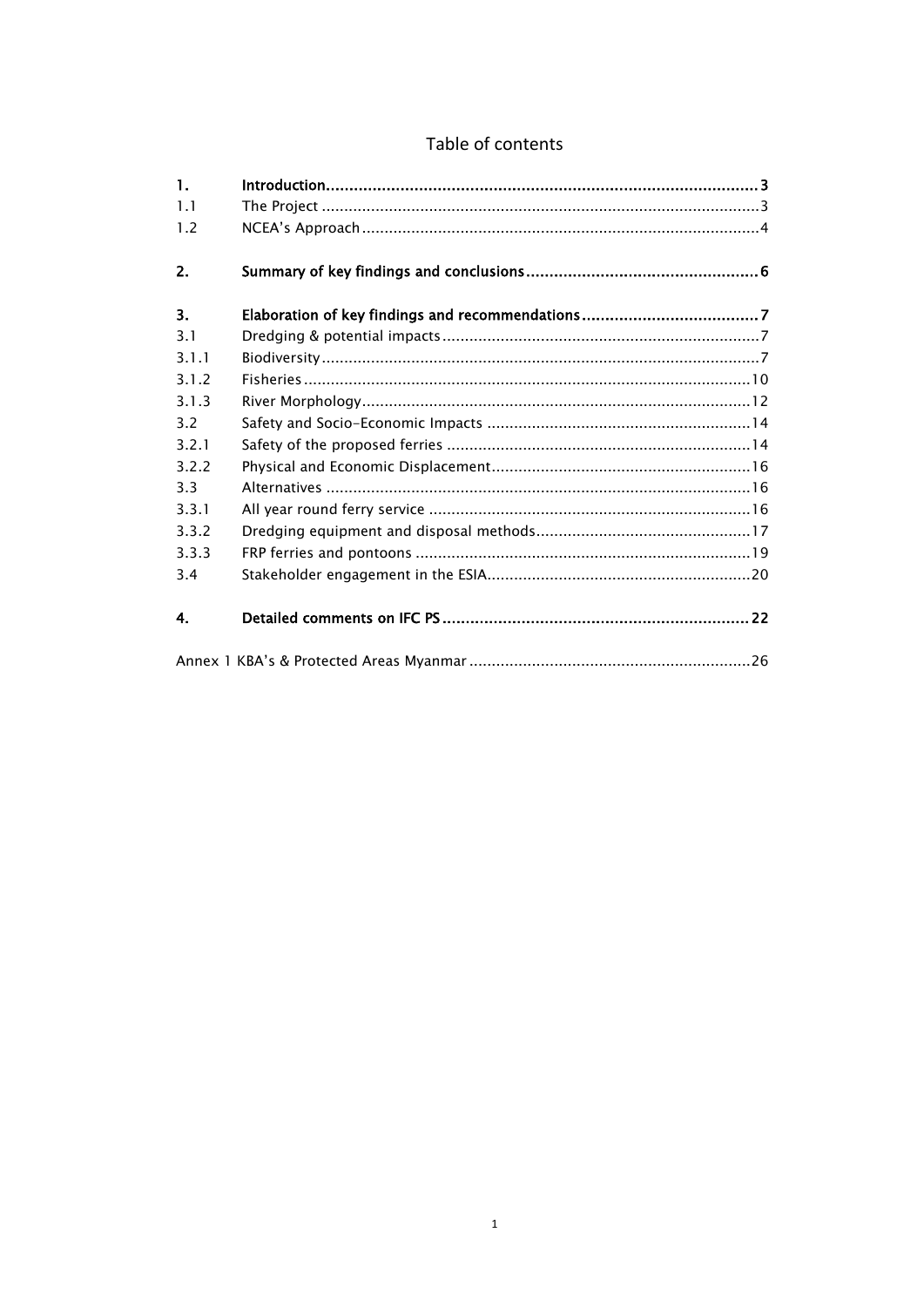### Table of contents

| $\mathbf{1}$ . |  |  |
|----------------|--|--|
| 1.1            |  |  |
| 1.2            |  |  |
| 2.             |  |  |
| 3.             |  |  |
| 3.1            |  |  |
| 3.1.1          |  |  |
| 3.1.2          |  |  |
| 3.1.3          |  |  |
| 3.2            |  |  |
| 3.2.1          |  |  |
| 3.2.2          |  |  |
| 3.3            |  |  |
| 3.3.1          |  |  |
| 3.3.2          |  |  |
| 3.3.3          |  |  |
| 3.4            |  |  |
| 4.             |  |  |
|                |  |  |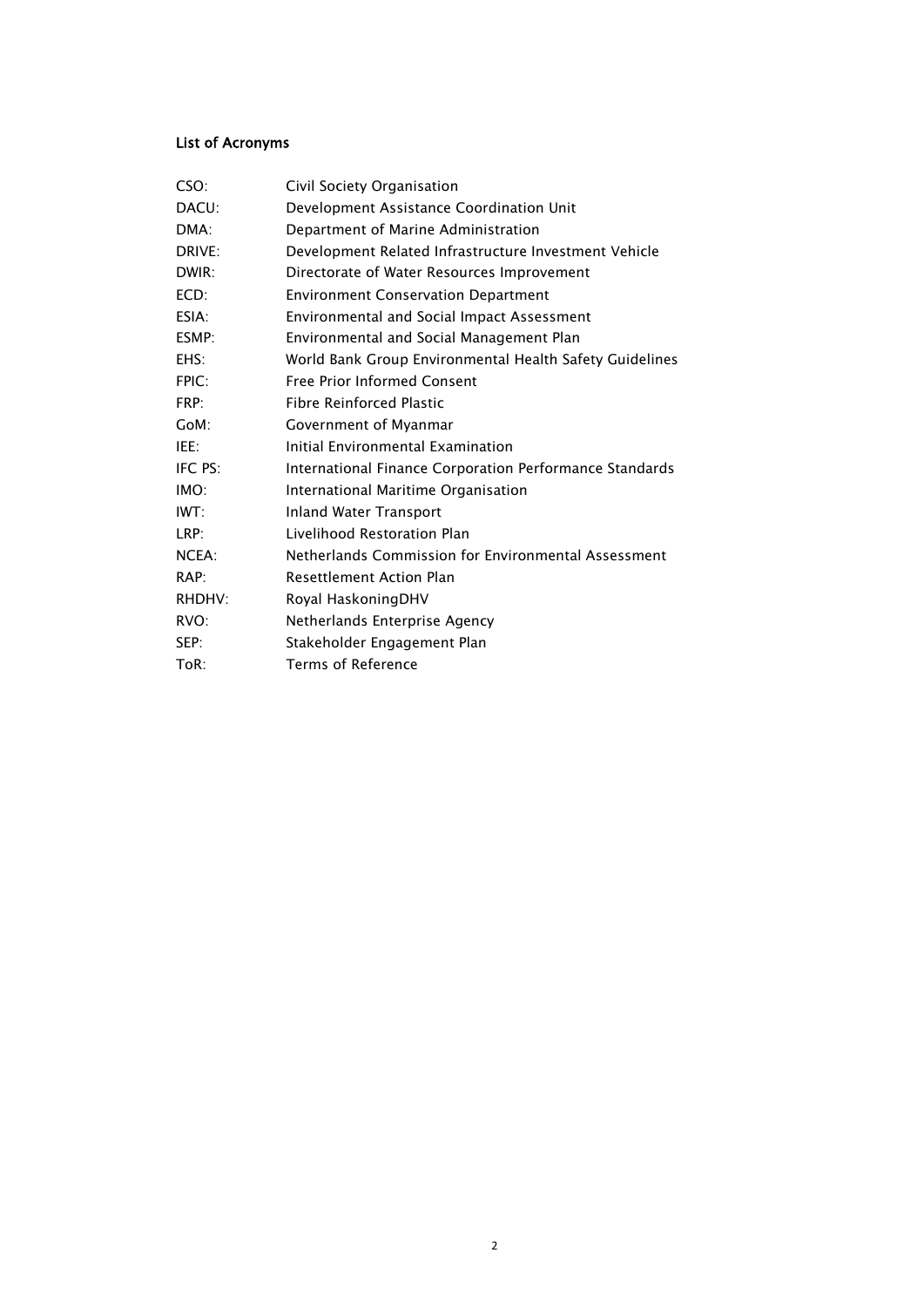### List of Acronyms

| CSO:    | Civil Society Organisation                              |
|---------|---------------------------------------------------------|
| DACU:   | Development Assistance Coordination Unit                |
| DMA:    | Department of Marine Administration                     |
| DRIVE:  | Development Related Infrastructure Investment Vehicle   |
| DWIR:   | Directorate of Water Resources Improvement              |
| ECD:    | <b>Environment Conservation Department</b>              |
| ESIA:   | Environmental and Social Impact Assessment              |
| ESMP:   | Environmental and Social Management Plan                |
| EHS:    | World Bank Group Environmental Health Safety Guidelines |
| FPIC:   | Free Prior Informed Consent                             |
| FRP:    | <b>Fibre Reinforced Plastic</b>                         |
| GoM:    | Government of Myanmar                                   |
| IEE:    | Initial Environmental Examination                       |
| IFC PS: | International Finance Corporation Performance Standards |
| IMO:    | International Maritime Organisation                     |
| IWT:    | Inland Water Transport                                  |
| LRP:    | Livelihood Restoration Plan                             |
| NCEA:   | Netherlands Commission for Environmental Assessment     |
| RAP:    | <b>Resettlement Action Plan</b>                         |
| RHDHV:  | Royal HaskoningDHV                                      |
| RVO:    | Netherlands Enterprise Agency                           |
| SEP:    | Stakeholder Engagement Plan                             |
| ToR:    | Terms of Reference                                      |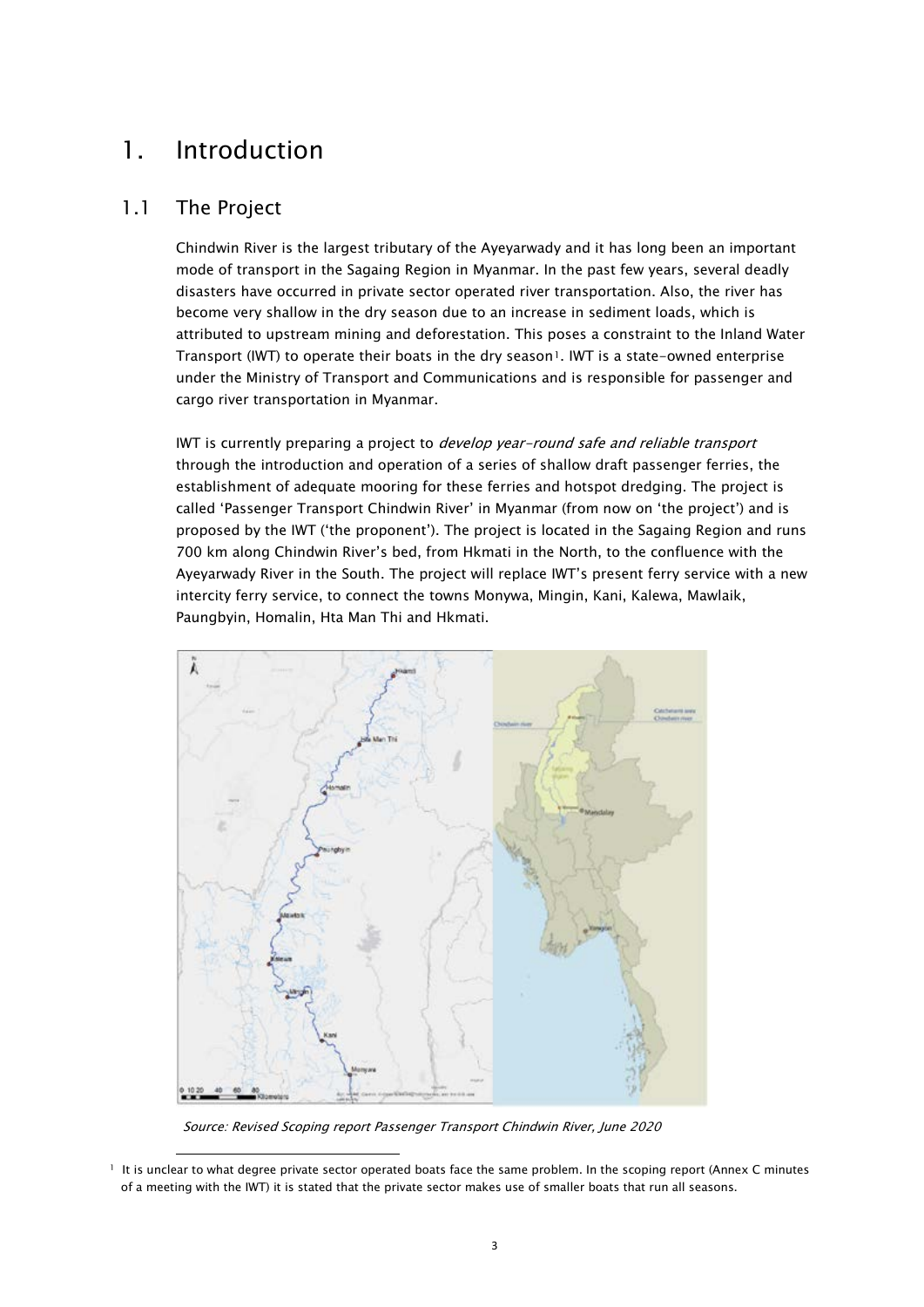## <span id="page-4-0"></span>1. Introduction

### <span id="page-4-1"></span>1.1 The Project

Chindwin River is the largest tributary of the Ayeyarwady and it has long been an important mode of transport in the Sagaing Region in Myanmar. In the past few years, several deadly disasters have occurred in private sector operated river transportation. Also, the river has become very shallow in the dry season due to an increase in sediment loads, which is attributed to upstream mining and deforestation. This poses a constraint to the Inland Water Transport (IWT) to operate their boats in the dry season<sup>1</sup>. IWT is a state-owned enterprise under the Ministry of Transport and Communications and is responsible for passenger and cargo river transportation in Myanmar.

IWT is currently preparing a project to *develop year-round safe and reliable transport* through the introduction and operation of a series of shallow draft passenger ferries, the establishment of adequate mooring for these ferries and hotspot dredging. The project is called 'Passenger Transport Chindwin River' in Myanmar (from now on 'the project') and is proposed by the IWT ('the proponent'). The project is located in the Sagaing Region and runs 700 km along Chindwin River's bed, from Hkmati in the North, to the confluence with the Ayeyarwady River in the South. The project will replace IWT's present ferry service with a new intercity ferry service, to connect the towns Monywa, Mingin, Kani, Kalewa, Mawlaik, Paungbyin, Homalin, Hta Man Thi and Hkmati.



Source: Revised Scoping report Passenger Transport Chindwin River, June 2020

<span id="page-4-2"></span><sup>1</sup> It is unclear to what degree private sector operated boats face the same problem. In the scoping report (Annex C minutes of a meeting with the IWT) it is stated that the private sector makes use of smaller boats that run all seasons.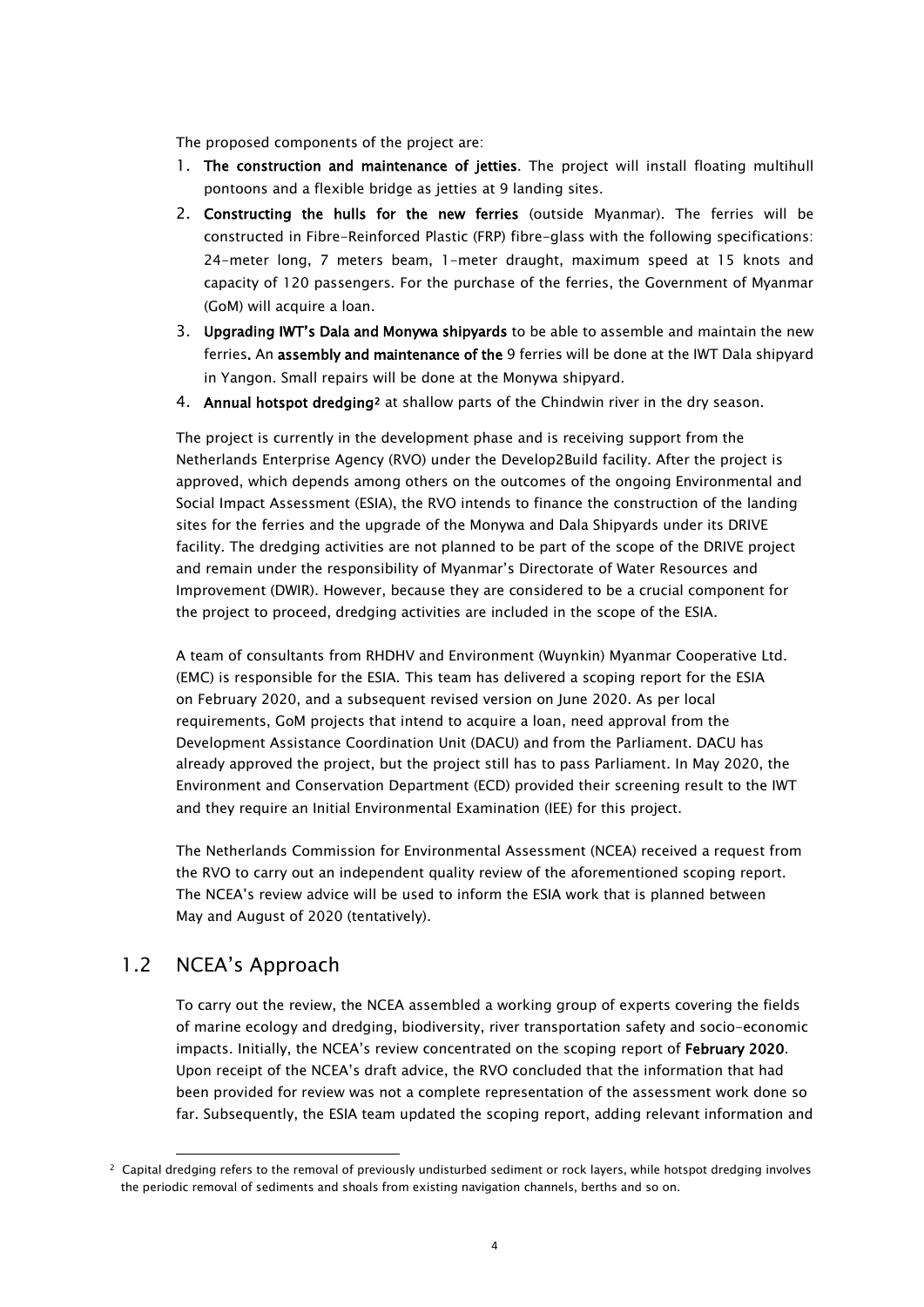The proposed components of the project are:

- 1. The construction and maintenance of jetties. The project will install floating multihull pontoons and a flexible bridge as jetties at 9 landing sites.
- 2. Constructing the hulls for the new ferries (outside Myanmar). The ferries will be constructed in Fibre-Reinforced Plastic (FRP) fibre-glass with the following specifications: 24-meter long, 7 meters beam, 1-meter draught, maximum speed at 15 knots and capacity of 120 passengers. For the purchase of the ferries, the Government of Myanmar (GoM) will acquire a loan.
- 3. Upgrading IWT's Dala and Monywa shipyards to be able to assemble and maintain the new ferries. An assembly and maintenance of the 9 ferries will be done at the IWT Dala shipyard in Yangon. Small repairs will be done at the Monywa shipyard.
- 4. Annual hotspot dredging[2](#page-5-1) at shallow parts of the Chindwin river in the dry season.

The project is currently in the development phase and is receiving support from the Netherlands Enterprise Agency (RVO) under the Develop2Build facility. After the project is approved, which depends among others on the outcomes of the ongoing Environmental and Social Impact Assessment (ESIA), the RVO intends to finance the construction of the landing sites for the ferries and the upgrade of the Monywa and Dala Shipyards under its DRIVE facility. The dredging activities are not planned to be part of the scope of the DRIVE project and remain under the responsibility of Myanmar's Directorate of Water Resources and Improvement (DWIR). However, because they are considered to be a crucial component for the project to proceed, dredging activities are included in the scope of the ESIA.

A team of consultants from RHDHV and Environment (Wuynkin) Myanmar Cooperative Ltd. (EMC) is responsible for the ESIA. This team has delivered a scoping report for the ESIA on February 2020, and a subsequent revised version on June 2020. As per local requirements, GoM projects that intend to acquire a loan, need approval from the Development Assistance Coordination Unit (DACU) and from the Parliament. DACU has already approved the project, but the project still has to pass Parliament. In May 2020, the Environment and Conservation Department (ECD) provided their screening result to the IWT and they require an Initial Environmental Examination (IEE) for this project.

The Netherlands Commission for Environmental Assessment (NCEA) received a request from the RVO to carry out an independent quality review of the aforementioned scoping report. The NCEA's review advice will be used to inform the ESIA work that is planned between May and August of 2020 (tentatively).

### <span id="page-5-0"></span>1.2 NCEA's Approach

To carry out the review, the NCEA assembled a working group of experts covering the fields of marine ecology and dredging, biodiversity, river transportation safety and socio-economic impacts. Initially, the NCEA's review concentrated on the scoping report of February 2020. Upon receipt of the NCEA's draft advice, the RVO concluded that the information that had been provided for review was not a complete representation of the assessment work done so far. Subsequently, the ESIA team updated the scoping report, adding relevant information and

<span id="page-5-1"></span><sup>&</sup>lt;sup>2</sup> Capital dredging refers to the removal of previously undisturbed sediment or rock layers, while hotspot dredging involves the periodic removal of sediments and shoals from existing navigation channels, berths and so on.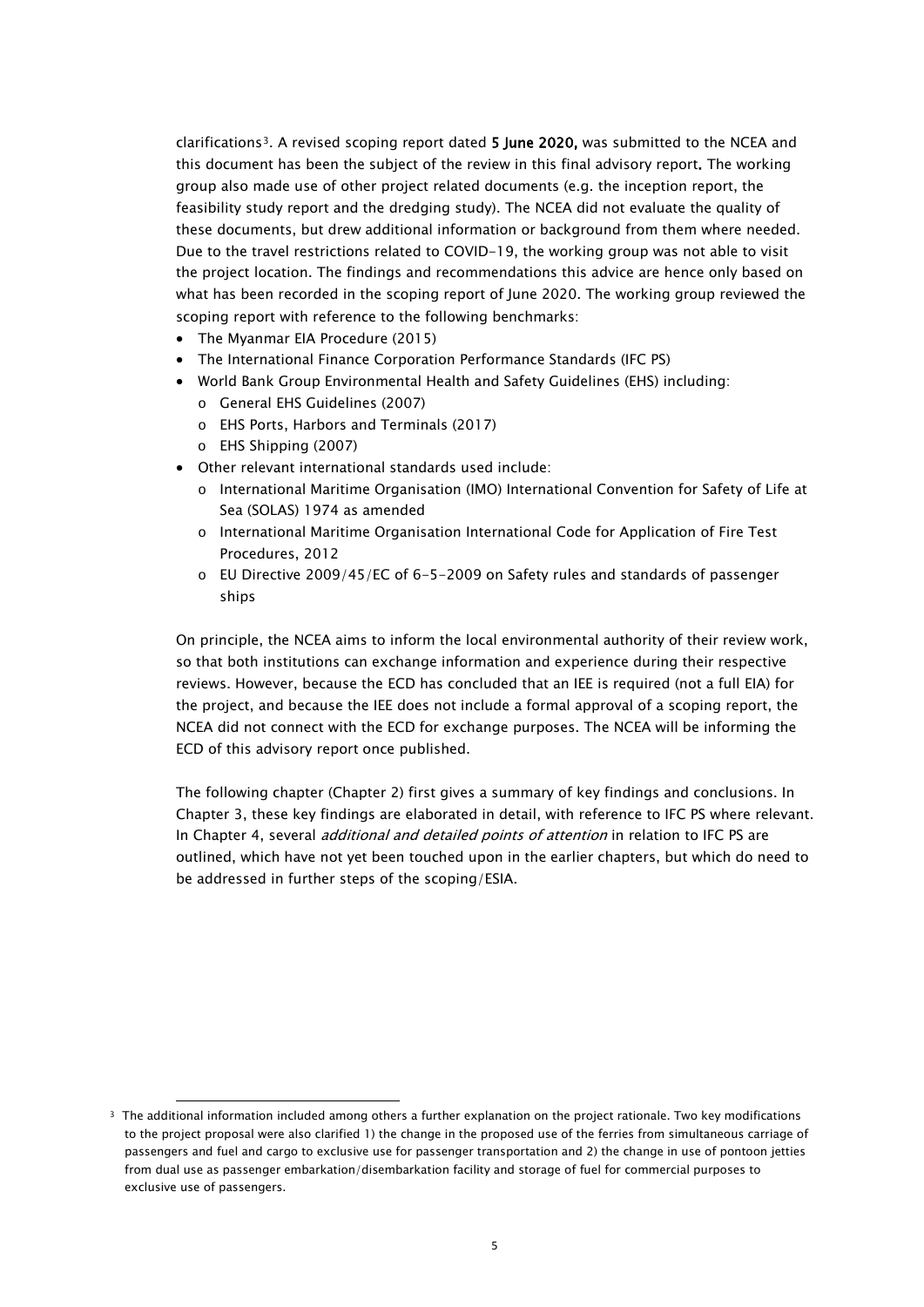clarifications[3](#page-6-0). A revised scoping report dated 5 June 2020, was submitted to the NCEA and this document has been the subject of the review in this final advisory report. The working group also made use of other project related documents (e.g. the inception report, the feasibility study report and the dredging study). The NCEA did not evaluate the quality of these documents, but drew additional information or background from them where needed. Due to the travel restrictions related to COVID-19, the working group was not able to visit the project location. The findings and recommendations this advice are hence only based on what has been recorded in the scoping report of June 2020. The working group reviewed the scoping report with reference to the following benchmarks:

- The Myanmar EIA Procedure (2015)
- The International Finance Corporation Performance Standards (IFC PS)
- World Bank Group Environmental Health and Safety Guidelines (EHS) including:
	- o General EHS Guidelines (2007)
	- o EHS Ports, Harbors and Terminals (2017)
	- o EHS Shipping (2007)
- Other relevant international standards used include:
	- o International Maritime Organisation (IMO) International Convention for Safety of Life at Sea (SOLAS) 1974 as amended
	- o International Maritime Organisation International Code for Application of Fire Test Procedures, 2012
	- o EU Directive 2009/45/EC of 6-5-2009 on Safety rules and standards of passenger ships

On principle, the NCEA aims to inform the local environmental authority of their review work, so that both institutions can exchange information and experience during their respective reviews. However, because the ECD has concluded that an IEE is required (not a full EIA) for the project, and because the IEE does not include a formal approval of a scoping report, the NCEA did not connect with the ECD for exchange purposes. The NCEA will be informing the ECD of this advisory report once published.

The following chapter (Chapter 2) first gives a summary of key findings and conclusions. In Chapter 3, these key findings are elaborated in detail, with reference to IFC PS where relevant. In Chapter 4, several *additional and detailed points of attention* in relation to IFC PS are outlined, which have not yet been touched upon in the earlier chapters, but which do need to be addressed in further steps of the scoping/ESIA.

<span id="page-6-0"></span><sup>&</sup>lt;sup>3</sup> The additional information included among others a further explanation on the project rationale. Two key modifications to the project proposal were also clarified 1) the change in the proposed use of the ferries from simultaneous carriage of passengers and fuel and cargo to exclusive use for passenger transportation and 2) the change in use of pontoon jetties from dual use as passenger embarkation/disembarkation facility and storage of fuel for commercial purposes to exclusive use of passengers.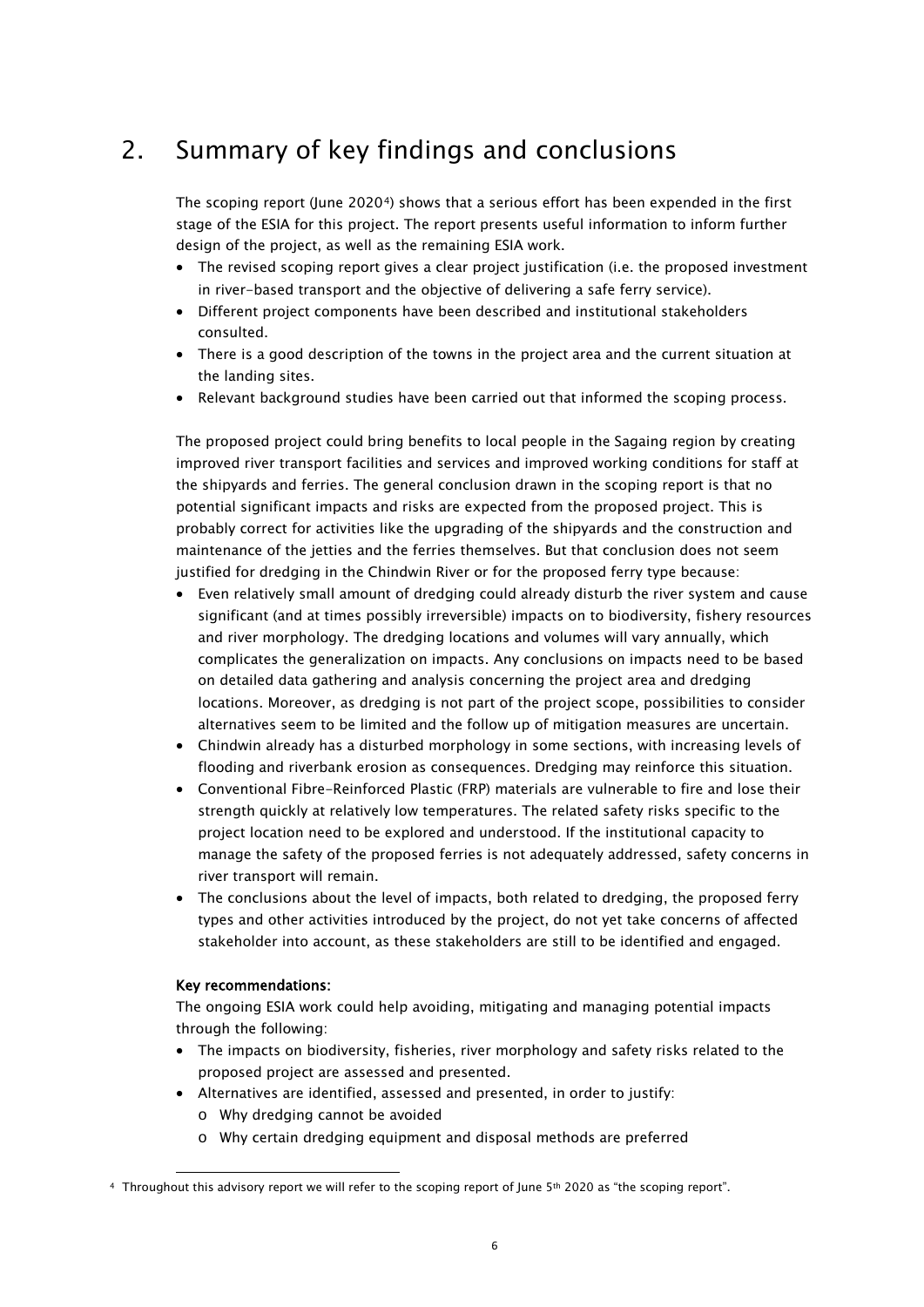# <span id="page-7-0"></span>2. Summary of key findings and conclusions

The scoping report (June 2020[4](#page-7-1)) shows that a serious effort has been expended in the first stage of the ESIA for this project. The report presents useful information to inform further design of the project, as well as the remaining ESIA work.

- The revised scoping report gives a clear project justification (i.e. the proposed investment in river-based transport and the objective of delivering a safe ferry service).
- Different project components have been described and institutional stakeholders consulted.
- There is a good description of the towns in the project area and the current situation at the landing sites.
- Relevant background studies have been carried out that informed the scoping process.

The proposed project could bring benefits to local people in the Sagaing region by creating improved river transport facilities and services and improved working conditions for staff at the shipyards and ferries. The general conclusion drawn in the scoping report is that no potential significant impacts and risks are expected from the proposed project. This is probably correct for activities like the upgrading of the shipyards and the construction and maintenance of the jetties and the ferries themselves. But that conclusion does not seem justified for dredging in the Chindwin River or for the proposed ferry type because:

- Even relatively small amount of dredging could already disturb the river system and cause significant (and at times possibly irreversible) impacts on to biodiversity, fishery resources and river morphology. The dredging locations and volumes will vary annually, which complicates the generalization on impacts. Any conclusions on impacts need to be based on detailed data gathering and analysis concerning the project area and dredging locations. Moreover, as dredging is not part of the project scope, possibilities to consider alternatives seem to be limited and the follow up of mitigation measures are uncertain.
- Chindwin already has a disturbed morphology in some sections, with increasing levels of flooding and riverbank erosion as consequences. Dredging may reinforce this situation.
- Conventional Fibre-Reinforced Plastic (FRP) materials are vulnerable to fire and lose their strength quickly at relatively low temperatures. The related safety risks specific to the project location need to be explored and understood. If the institutional capacity to manage the safety of the proposed ferries is not adequately addressed, safety concerns in river transport will remain.
- The conclusions about the level of impacts, both related to dredging, the proposed ferry types and other activities introduced by the project, do not yet take concerns of affected stakeholder into account, as these stakeholders are still to be identified and engaged.

### Key recommendations:

The ongoing ESIA work could help avoiding, mitigating and managing potential impacts through the following:

- The impacts on biodiversity, fisheries, river morphology and safety risks related to the proposed project are assessed and presented.
- Alternatives are identified, assessed and presented, in order to justify:
	- o Why dredging cannot be avoided
	- o Why certain dredging equipment and disposal methods are preferred

<span id="page-7-1"></span><sup>4</sup> Throughout this advisory report we will refer to the scoping report of June 5th 2020 as "the scoping report".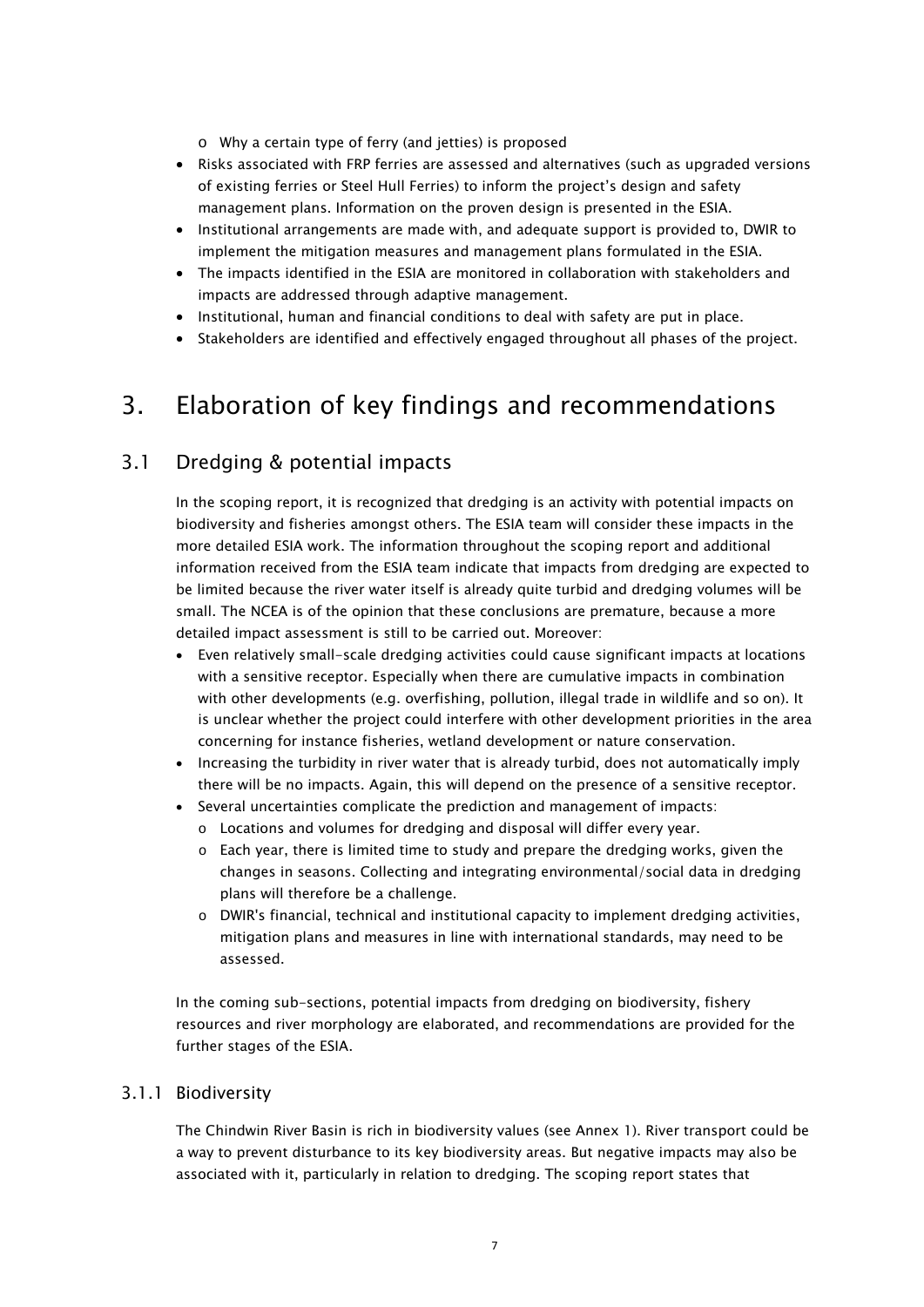o Why a certain type of ferry (and jetties) is proposed

- Risks associated with FRP ferries are assessed and alternatives (such as upgraded versions of existing ferries or Steel Hull Ferries) to inform the project's design and safety management plans. Information on the proven design is presented in the ESIA.
- Institutional arrangements are made with, and adequate support is provided to, DWIR to implement the mitigation measures and management plans formulated in the ESIA.
- The impacts identified in the ESIA are monitored in collaboration with stakeholders and impacts are addressed through adaptive management.
- Institutional, human and financial conditions to deal with safety are put in place.
- <span id="page-8-0"></span>• Stakeholders are identified and effectively engaged throughout all phases of the project.

# 3. Elaboration of key findings and recommendations

### <span id="page-8-1"></span>3.1 Dredging & potential impacts

In the scoping report, it is recognized that dredging is an activity with potential impacts on biodiversity and fisheries amongst others. The ESIA team will consider these impacts in the more detailed ESIA work. The information throughout the scoping report and additional information received from the ESIA team indicate that impacts from dredging are expected to be limited because the river water itself is already quite turbid and dredging volumes will be small. The NCEA is of the opinion that these conclusions are premature, because a more detailed impact assessment is still to be carried out. Moreover:

- Even relatively small-scale dredging activities could cause significant impacts at locations with a sensitive receptor. Especially when there are cumulative impacts in combination with other developments (e.g. overfishing, pollution, illegal trade in wildlife and so on). It is unclear whether the project could interfere with other development priorities in the area concerning for instance fisheries, wetland development or nature conservation.
- Increasing the turbidity in river water that is already turbid, does not automatically imply there will be no impacts. Again, this will depend on the presence of a sensitive receptor.
- Several uncertainties complicate the prediction and management of impacts:
	- o Locations and volumes for dredging and disposal will differ every year.
	- $\circ$  Each year, there is limited time to study and prepare the dredging works, given the changes in seasons. Collecting and integrating environmental/social data in dredging plans will therefore be a challenge.
	- o DWIR's financial, technical and institutional capacity to implement dredging activities, mitigation plans and measures in line with international standards, may need to be assessed.

In the coming sub-sections, potential impacts from dredging on biodiversity, fishery resources and river morphology are elaborated, and recommendations are provided for the further stages of the ESIA.

### <span id="page-8-2"></span>3.1.1 Biodiversity

The Chindwin River Basin is rich in biodiversity values (see Annex 1). River transport could be a way to prevent disturbance to its key biodiversity areas. But negative impacts may also be associated with it, particularly in relation to dredging. The scoping report states that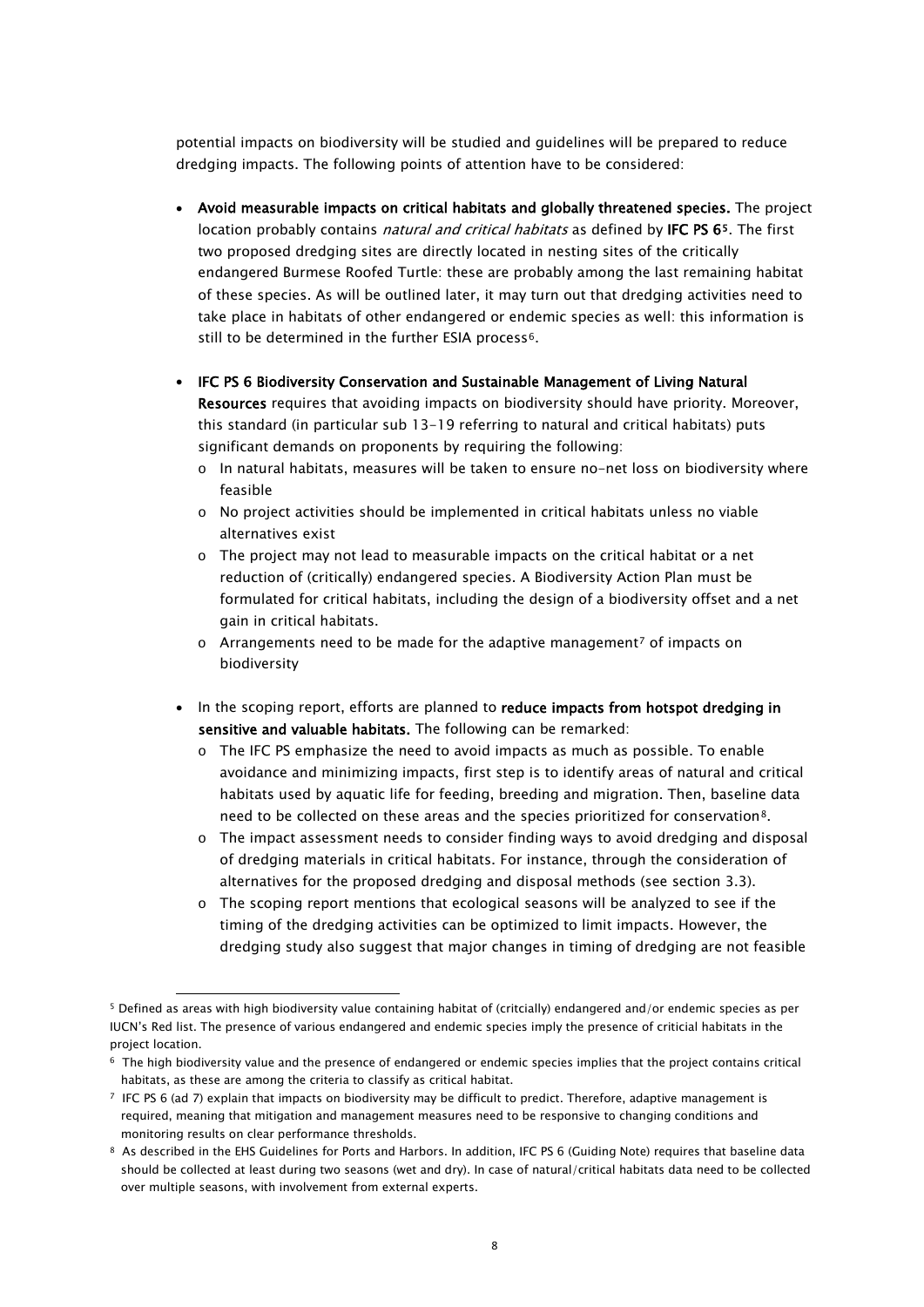potential impacts on biodiversity will be studied and guidelines will be prepared to reduce dredging impacts. The following points of attention have to be considered:

- Avoid measurable impacts on critical habitats and globally threatened species. The project location probably contains *natural and critical habitats* as defined by IFC PS [65](#page-9-0). The first two proposed dredging sites are directly located in nesting sites of the critically endangered Burmese Roofed Turtle: these are probably among the last remaining habitat of these species. As will be outlined later, it may turn out that dredging activities need to take place in habitats of other endangered or endemic species as well: this information is still to be determined in the further ESIA process<sup>6</sup>.
- IFC PS 6 Biodiversity Conservation and Sustainable Management of Living Natural Resources requires that avoiding impacts on biodiversity should have priority. Moreover, this standard (in particular sub 13-19 referring to natural and critical habitats) puts significant demands on proponents by requiring the following:
	- o In natural habitats, measures will be taken to ensure no-net loss on biodiversity where feasible
	- o No project activities should be implemented in critical habitats unless no viable alternatives exist
	- $\circ$  The project may not lead to measurable impacts on the critical habitat or a net reduction of (critically) endangered species. A Biodiversity Action Plan must be formulated for critical habitats, including the design of a biodiversity offset and a net gain in critical habitats.
	- $\circ$  Arrangements need to be made for the adaptive management<sup>[7](#page-9-2)</sup> of impacts on biodiversity
- In the scoping report, efforts are planned to reduce impacts from hotspot dredging in sensitive and valuable habitats. The following can be remarked:
	- o The IFC PS emphasize the need to avoid impacts as much as possible. To enable avoidance and minimizing impacts, first step is to identify areas of natural and critical habitats used by aquatic life for feeding, breeding and migration. Then, baseline data need to be collected on these areas and the species prioritized for conservation[8](#page-9-3).
	- o The impact assessment needs to consider finding ways to avoid dredging and disposal of dredging materials in critical habitats. For instance, through the consideration of alternatives for the proposed dredging and disposal methods (see section 3.3).
	- $\circ$  The scoping report mentions that ecological seasons will be analyzed to see if the timing of the dredging activities can be optimized to limit impacts. However, the dredging study also suggest that major changes in timing of dredging are not feasible

<span id="page-9-0"></span><sup>5</sup> Defined as areas with high biodiversity value containing habitat of (critcially) endangered and/or endemic species as per IUCN's Red list. The presence of various endangered and endemic species imply the presence of criticial habitats in the project location.

<span id="page-9-1"></span><sup>6</sup> The high biodiversity value and the presence of endangered or endemic species implies that the project contains critical habitats, as these are among the criteria to classify as critical habitat.

<span id="page-9-2"></span><sup>7</sup> IFC PS 6 (ad 7) explain that impacts on biodiversity may be difficult to predict. Therefore, adaptive management is required, meaning that mitigation and management measures need to be responsive to changing conditions and monitoring results on clear performance thresholds.

<span id="page-9-3"></span><sup>8</sup> As described in the EHS Guidelines for Ports and Harbors. In addition, IFC PS 6 (Guiding Note) requires that baseline data should be collected at least during two seasons (wet and dry). In case of natural/critical habitats data need to be collected over multiple seasons, with involvement from external experts.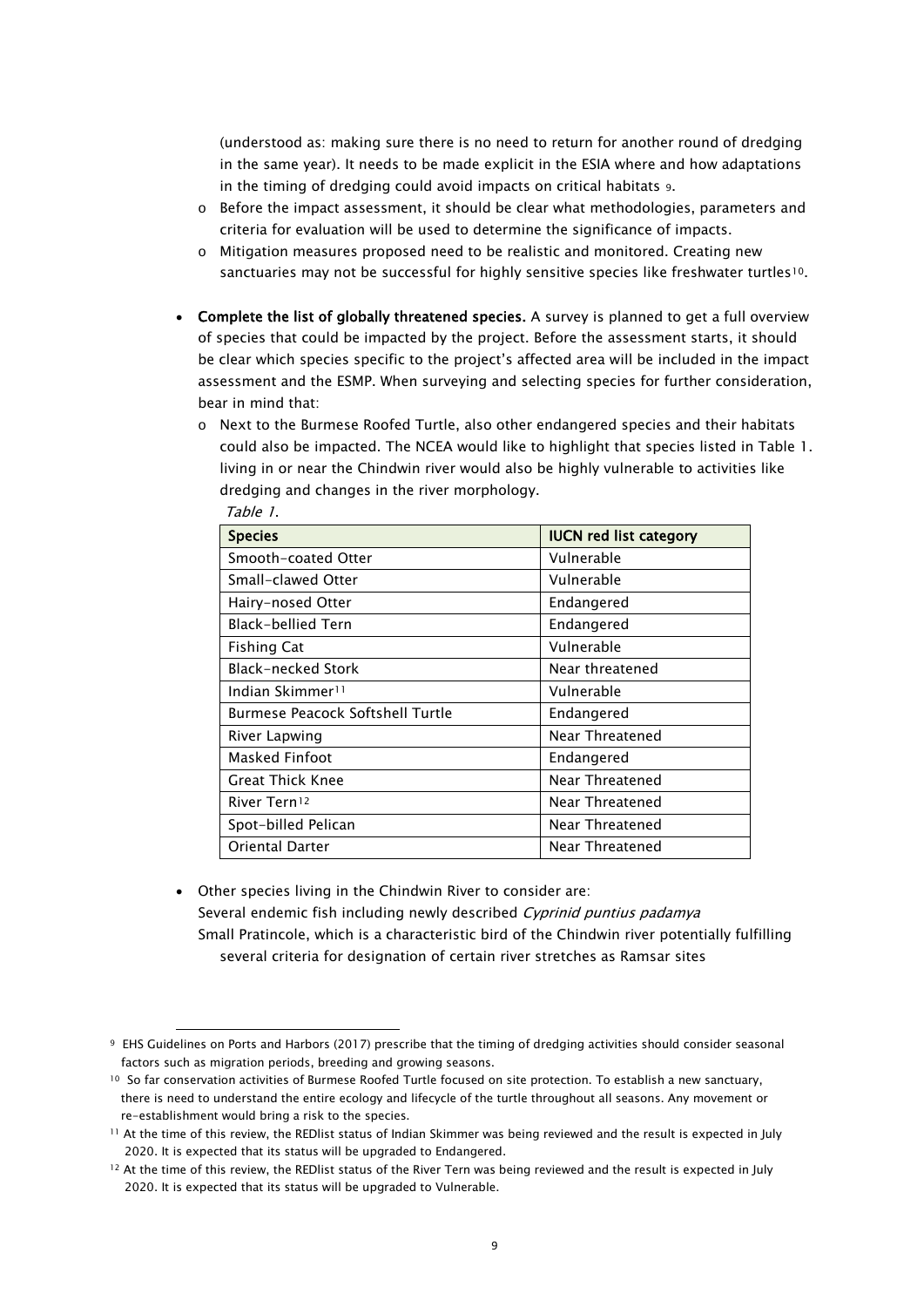(understood as: making sure there is no need to return for another round of dredging in the same year). It needs to be made explicit in the ESIA where and how adaptations in the timing of dredging could avoid impacts on critical habitats [9.](#page-10-0)

- $\circ$  Before the impact assessment, it should be clear what methodologies, parameters and criteria for evaluation will be used to determine the significance of impacts.
- o Mitigation measures proposed need to be realistic and monitored. Creating new sanctuaries may not be successful for highly sensitive species like freshwater turtles<sup>10</sup>.
- Complete the list of globally threatened species. A survey is planned to get a full overview of species that could be impacted by the project. Before the assessment starts, it should be clear which species specific to the project's affected area will be included in the impact assessment and the ESMP. When surveying and selecting species for further consideration, bear in mind that:
	- o Next to the Burmese Roofed Turtle, also other endangered species and their habitats could also be impacted. The NCEA would like to highlight that species listed in Table 1. living in or near the Chindwin river would also be highly vulnerable to activities like dredging and changes in the river morphology. Table 1.

| <b>Species</b>                   | <b>IUCN red list category</b> |
|----------------------------------|-------------------------------|
| Smooth-coated Otter              | Vulnerable                    |
| Small-clawed Otter               | Vulnerable                    |
| Hairy-nosed Otter                | Endangered                    |
| <b>Black-bellied Tern</b>        | Endangered                    |
| <b>Fishing Cat</b>               | Vulnerable                    |
| <b>Black-necked Stork</b>        | Near threatened               |
| Indian Skimmer <sup>11</sup>     | Vulnerable                    |
| Burmese Peacock Softshell Turtle | Endangered                    |
| River Lapwing                    | Near Threatened               |
| Masked Finfoot                   | Endangered                    |
| Great Thick Knee                 | Near Threatened               |
| River Tern <sup>12</sup>         | Near Threatened               |
| Spot-billed Pelican              | Near Threatened               |
| <b>Oriental Darter</b>           | Near Threatened               |

• Other species living in the Chindwin River to consider are: Several endemic fish including newly described Cyprinid puntius padamya Small Pratincole, which is a characteristic bird of the Chindwin river potentially fulfilling several criteria for designation of certain river stretches as Ramsar sites

<span id="page-10-0"></span><sup>9</sup> EHS Guidelines on Ports and Harbors (2017) prescribe that the timing of dredging activities should consider seasonal factors such as migration periods, breeding and growing seasons.

<span id="page-10-1"></span><sup>&</sup>lt;sup>10</sup> So far conservation activities of Burmese Roofed Turtle focused on site protection. To establish a new sanctuary, there is need to understand the entire ecology and lifecycle of the turtle throughout all seasons. Any movement or re-establishment would bring a risk to the species.

<span id="page-10-2"></span><sup>11</sup> At the time of this review, the REDlist status of Indian Skimmer was being reviewed and the result is expected in July 2020. It is expected that its status will be upgraded to Endangered.

<span id="page-10-3"></span><sup>&</sup>lt;sup>12</sup> At the time of this review, the REDlist status of the River Tern was being reviewed and the result is expected in July 2020. It is expected that its status will be upgraded to Vulnerable.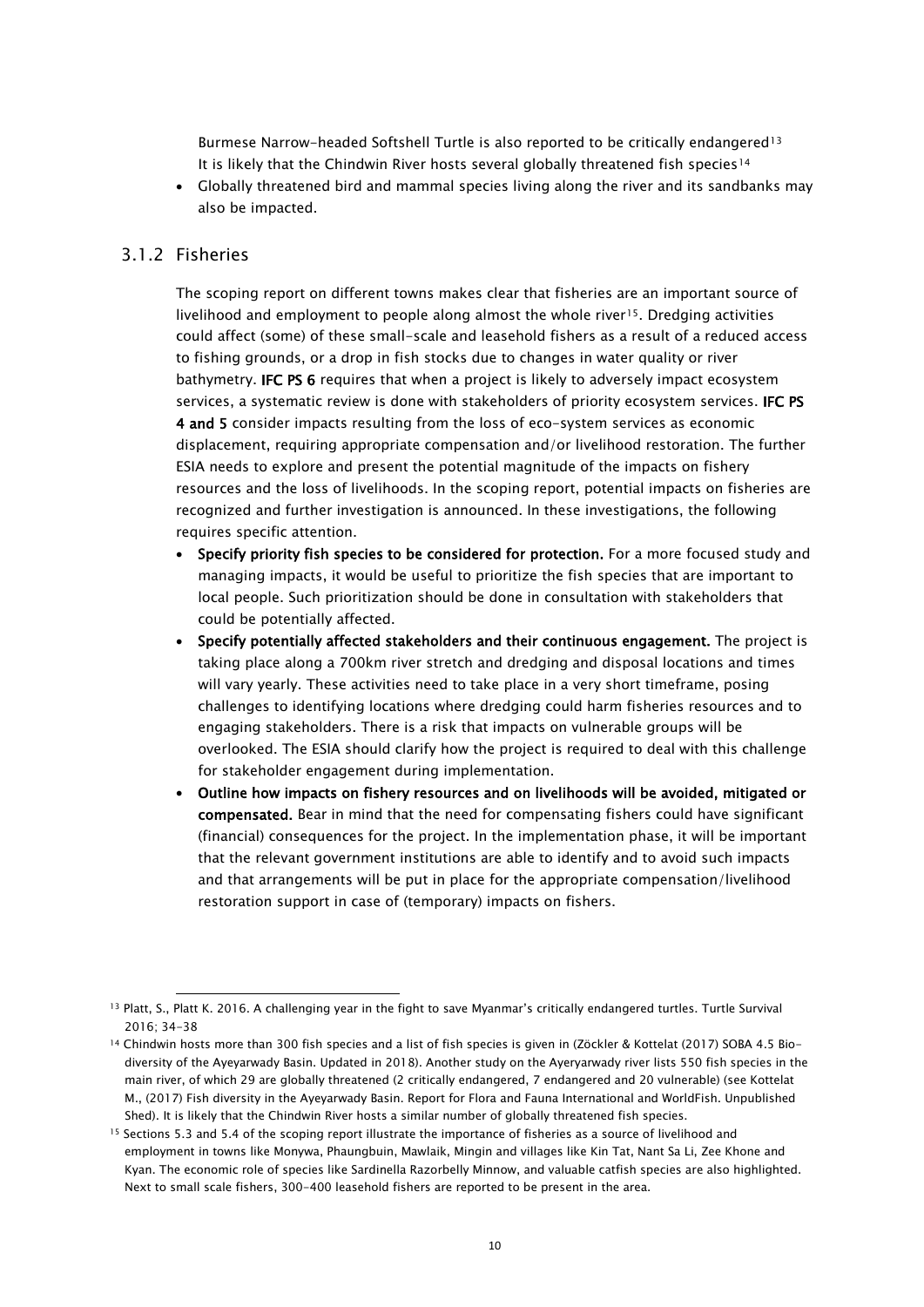Burmese Narrow-headed Softshell Turtle is also reported to be critically endangered<sup>[13](#page-11-1)</sup> It is likely that the Chindwin River hosts several globally threatened fish species[14](#page-11-2)

<span id="page-11-0"></span>• Globally threatened bird and mammal species living along the river and its sandbanks may also be impacted.

### 3.1.2 Fisheries

The scoping report on different towns makes clear that fisheries are an important source of livelihood and employment to people along almost the whole river<sup>15</sup>. Dredging activities could affect (some) of these small-scale and leasehold fishers as a result of a reduced access to fishing grounds, or a drop in fish stocks due to changes in water quality or river bathymetry. IFC PS 6 requires that when a project is likely to adversely impact ecosystem services, a systematic review is done with stakeholders of priority ecosystem services. IFC PS 4 and 5 consider impacts resulting from the loss of eco-system services as economic displacement, requiring appropriate compensation and/or livelihood restoration. The further ESIA needs to explore and present the potential magnitude of the impacts on fishery resources and the loss of livelihoods. In the scoping report, potential impacts on fisheries are recognized and further investigation is announced. In these investigations, the following requires specific attention.

- Specify priority fish species to be considered for protection. For a more focused study and managing impacts, it would be useful to prioritize the fish species that are important to local people. Such prioritization should be done in consultation with stakeholders that could be potentially affected.
- Specify potentially affected stakeholders and their continuous engagement. The project is taking place along a 700km river stretch and dredging and disposal locations and times will vary yearly. These activities need to take place in a very short timeframe, posing challenges to identifying locations where dredging could harm fisheries resources and to engaging stakeholders. There is a risk that impacts on vulnerable groups will be overlooked. The ESIA should clarify how the project is required to deal with this challenge for stakeholder engagement during implementation.
- Outline how impacts on fishery resources and on livelihoods will be avoided, mitigated or compensated. Bear in mind that the need for compensating fishers could have significant (financial) consequences for the project. In the implementation phase, it will be important that the relevant government institutions are able to identify and to avoid such impacts and that arrangements will be put in place for the appropriate compensation/livelihood restoration support in case of (temporary) impacts on fishers.

<span id="page-11-1"></span><sup>13</sup> Platt, S., Platt K. 2016. A challenging year in the fight to save Myanmar's critically endangered turtles. Turtle Survival 2016; 34-38

<span id="page-11-2"></span><sup>14</sup> Chindwin hosts more than 300 fish species and a list of fish species is given in (Zöckler & Kottelat (2017) SOBA 4.5 Bio diversity of the Ayeyarwady Basin. Updated in 2018). Another study on the Ayeryarwady river lists 550 fish species in the main river, of which 29 are globally threatened (2 critically endangered, 7 endangered and 20 vulnerable) (see Kottelat M., (2017) Fish diversity in the Ayeyarwady Basin. Report for Flora and Fauna International and WorldFish. Unpublished Shed). It is likely that the Chindwin River hosts a similar number of globally threatened fish species.

<span id="page-11-3"></span><sup>15</sup> Sections 5.3 and 5.4 of the scoping report illustrate the importance of fisheries as a source of livelihood and employment in towns like Monywa, Phaungbuin, Mawlaik, Mingin and villages like Kin Tat, Nant Sa Li, Zee Khone and Kyan. The economic role of species like Sardinella Razorbelly Minnow, and valuable catfish species are also highlighted. Next to small scale fishers, 300-400 leasehold fishers are reported to be present in the area.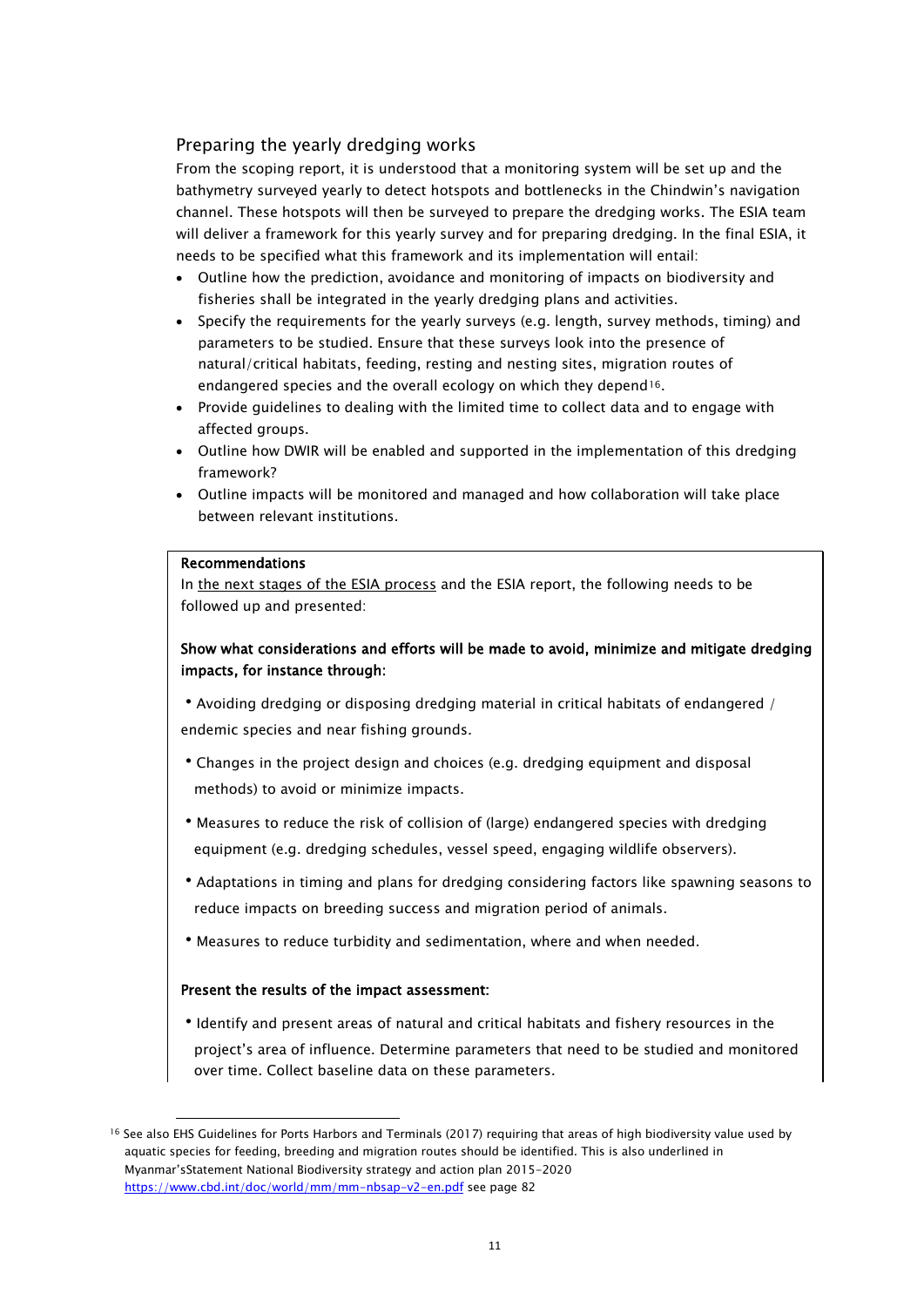### Preparing the yearly dredging works

From the scoping report, it is understood that a monitoring system will be set up and the bathymetry surveyed yearly to detect hotspots and bottlenecks in the Chindwin's navigation channel. These hotspots will then be surveyed to prepare the dredging works. The ESIA team will deliver a framework for this yearly survey and for preparing dredging. In the final ESIA, it needs to be specified what this framework and its implementation will entail:

- Outline how the prediction, avoidance and monitoring of impacts on biodiversity and fisheries shall be integrated in the yearly dredging plans and activities.
- Specify the requirements for the yearly surveys (e.g. length, survey methods, timing) and parameters to be studied. Ensure that these surveys look into the presence of natural/critical habitats, feeding, resting and nesting sites, migration routes of endangered species and the overall ecology on which they depend[16.](#page-12-0)
- Provide guidelines to dealing with the limited time to collect data and to engage with affected groups.
- Outline how DWIR will be enabled and supported in the implementation of this dredging framework?
- Outline impacts will be monitored and managed and how collaboration will take place between relevant institutions.

#### Recommendations

In the next stages of the ESIA process and the ESIA report, the following needs to be followed up and presented:

### Show what considerations and efforts will be made to avoid, minimize and mitigate dredging impacts, for instance through:

•Avoiding dredging or disposing dredging material in critical habitats of endangered / endemic species and near fishing grounds.

- •Changes in the project design and choices (e.g. dredging equipment and disposal methods) to avoid or minimize impacts.
- •Measures to reduce the risk of collision of (large) endangered species with dredging equipment (e.g. dredging schedules, vessel speed, engaging wildlife observers).
- •Adaptations in timing and plans for dredging considering factors like spawning seasons to reduce impacts on breeding success and migration period of animals.
- •Measures to reduce turbidity and sedimentation, where and when needed.

### Present the results of the impact assessment:

•Identify and present areas of natural and critical habitats and fishery resources in the project's area of influence. Determine parameters that need to be studied and monitored over time. Collect baseline data on these parameters.

<span id="page-12-0"></span><sup>16</sup> See also EHS Guidelines for Ports Harbors and Terminals (2017) requiring that areas of high biodiversity value used by aquatic species for feeding, breeding and migration routes should be identified. This is also underlined in Myanmar'sStatement National Biodiversity strategy and action plan 2015-2020 <https://www.cbd.int/doc/world/mm/mm-nbsap-v2-en.pdf> see page 82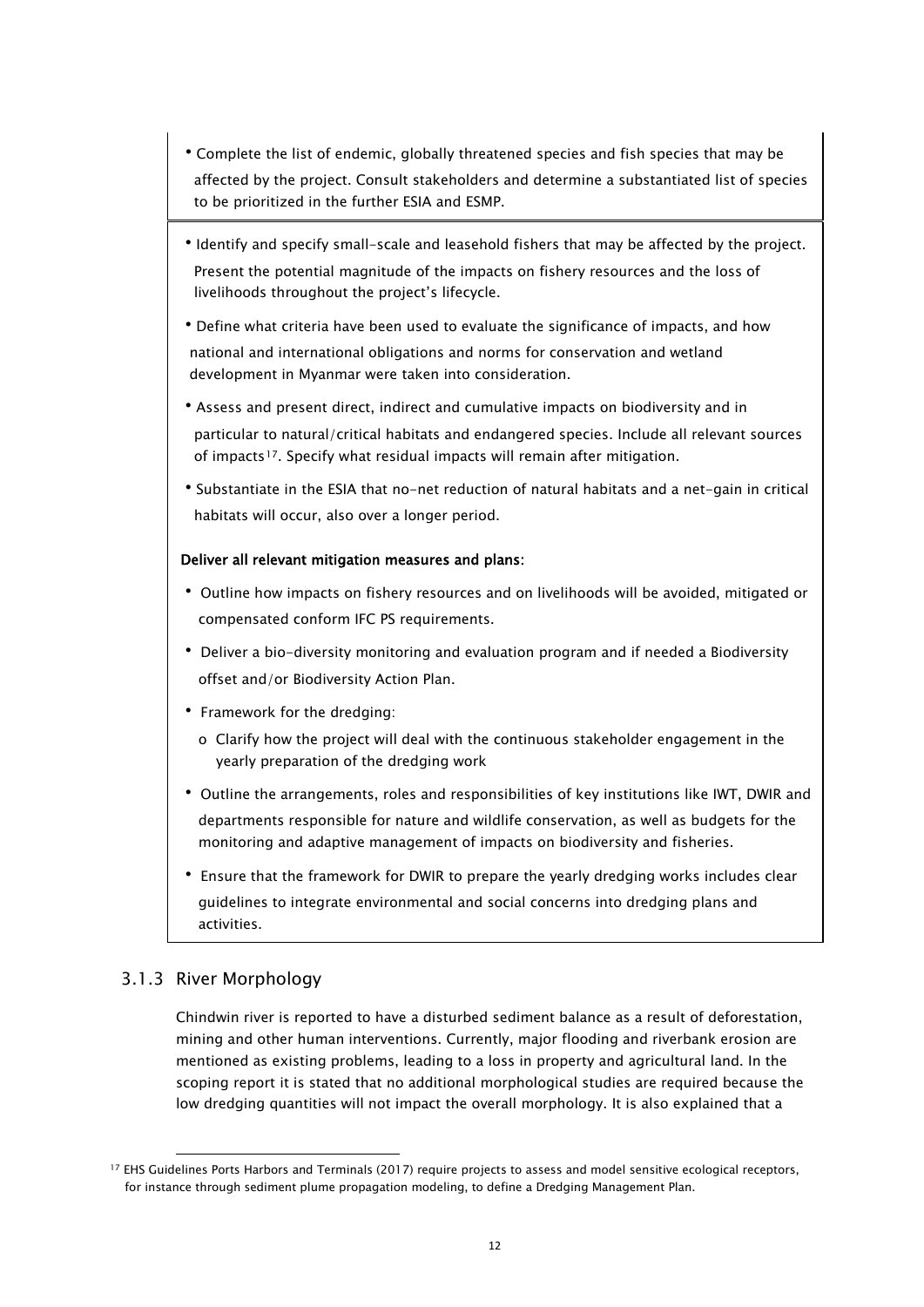- •Complete the list of endemic, globally threatened species and fish species that may be affected by the project. Consult stakeholders and determine a substantiated list of species to be prioritized in the further ESIA and ESMP.
- •Identify and specify small-scale and leasehold fishers that may be affected by the project. Present the potential magnitude of the impacts on fishery resources and the loss of livelihoods throughout the project's lifecycle.
- •Define what criteria have been used to evaluate the significance of impacts, and how national and international obligations and norms for conservation and wetland development in Myanmar were taken into consideration.
- •Assess and present direct, indirect and cumulative impacts on biodiversity and in particular to natural/critical habitats and endangered species. Include all relevant sources of impacts<sup>[17](#page-13-1)</sup>. Specify what residual impacts will remain after mitigation.
- •Substantiate in the ESIA that no-net reduction of natural habitats and a net-gain in critical habitats will occur, also over a longer period.

### Deliver all relevant mitigation measures and plans:

- Outline how impacts on fishery resources and on livelihoods will be avoided, mitigated or compensated conform IFC PS requirements.
- Deliver a bio-diversity monitoring and evaluation program and if needed a Biodiversity offset and/or Biodiversity Action Plan.
- Framework for the dredging:
	- o Clarify how the project will deal with the continuous stakeholder engagement in the yearly preparation of the dredging work
- Outline the arrangements, roles and responsibilities of key institutions like IWT, DWIR and departments responsible for nature and wildlife conservation, as well as budgets for the monitoring and adaptive management of impacts on biodiversity and fisheries.
- Ensure that the framework for DWIR to prepare the yearly dredging works includes clear guidelines to integrate environmental and social concerns into dredging plans and activities.

### <span id="page-13-0"></span>3.1.3 River Morphology

Chindwin river is reported to have a disturbed sediment balance as a result of deforestation, mining and other human interventions. Currently, major flooding and riverbank erosion are mentioned as existing problems, leading to a loss in property and agricultural land. In the scoping report it is stated that no additional morphological studies are required because the low dredging quantities will not impact the overall morphology. It is also explained that a

<span id="page-13-1"></span><sup>17</sup> EHS Guidelines Ports Harbors and Terminals (2017) require projects to assess and model sensitive ecological receptors, for instance through sediment plume propagation modeling, to define a Dredging Management Plan.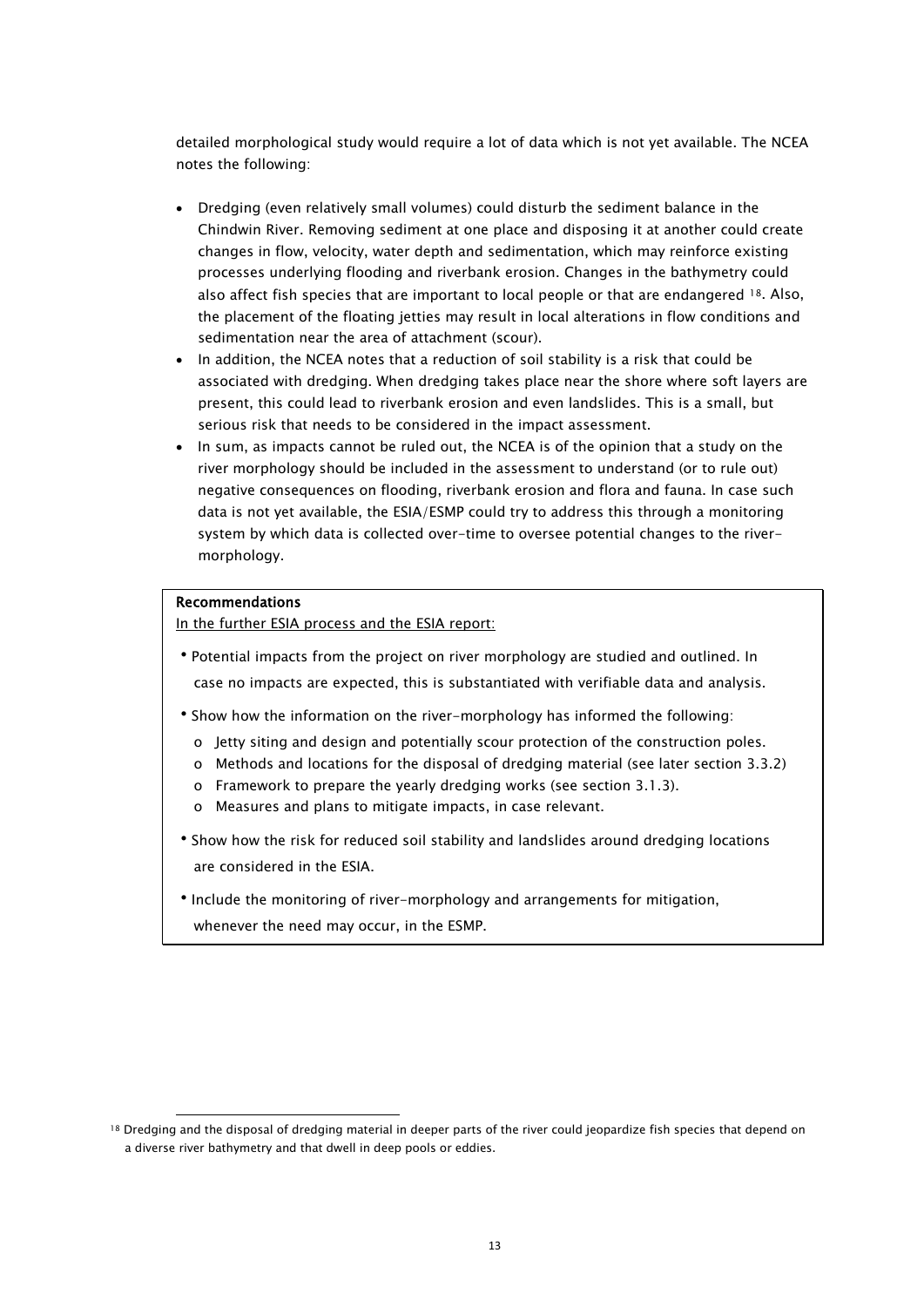detailed morphological study would require a lot of data which is not yet available. The NCEA notes the following:

- Dredging (even relatively small volumes) could disturb the sediment balance in the Chindwin River. Removing sediment at one place and disposing it at another could create changes in flow, velocity, water depth and sedimentation, which may reinforce existing processes underlying flooding and riverbank erosion. Changes in the bathymetry could also affect fish species that are important to local people or that are endangered [18.](#page-14-0) Also, the placement of the floating jetties may result in local alterations in flow conditions and sedimentation near the area of attachment (scour).
- In addition, the NCEA notes that a reduction of soil stability is a risk that could be associated with dredging. When dredging takes place near the shore where soft layers are present, this could lead to riverbank erosion and even landslides. This is a small, but serious risk that needs to be considered in the impact assessment.
- In sum, as impacts cannot be ruled out, the NCEA is of the opinion that a study on the river morphology should be included in the assessment to understand (or to rule out) negative consequences on flooding, riverbank erosion and flora and fauna. In case such data is not yet available, the ESIA/ESMP could try to address this through a monitoring system by which data is collected over-time to oversee potential changes to the rivermorphology.

#### Recommendations

In the further ESIA process and the ESIA report:

- •Potential impacts from the project on river morphology are studied and outlined. In case no impacts are expected, this is substantiated with verifiable data and analysis.
- •Show how the information on the river-morphology has informed the following:
	- o Jetty siting and design and potentially scour protection of the construction poles.
	- o Methods and locations for the disposal of dredging material (see later section 3.3.2)
	- o Framework to prepare the yearly dredging works (see section 3.1.3).
	- o Measures and plans to mitigate impacts, in case relevant.
- •Show how the risk for reduced soil stability and landslides around dredging locations are considered in the ESIA.
- •Include the monitoring of river-morphology and arrangements for mitigation, whenever the need may occur, in the ESMP.

<span id="page-14-0"></span><sup>&</sup>lt;sup>18</sup> Dredging and the disposal of dredging material in deeper parts of the river could jeopardize fish species that depend on a diverse river bathymetry and that dwell in deep pools or eddies.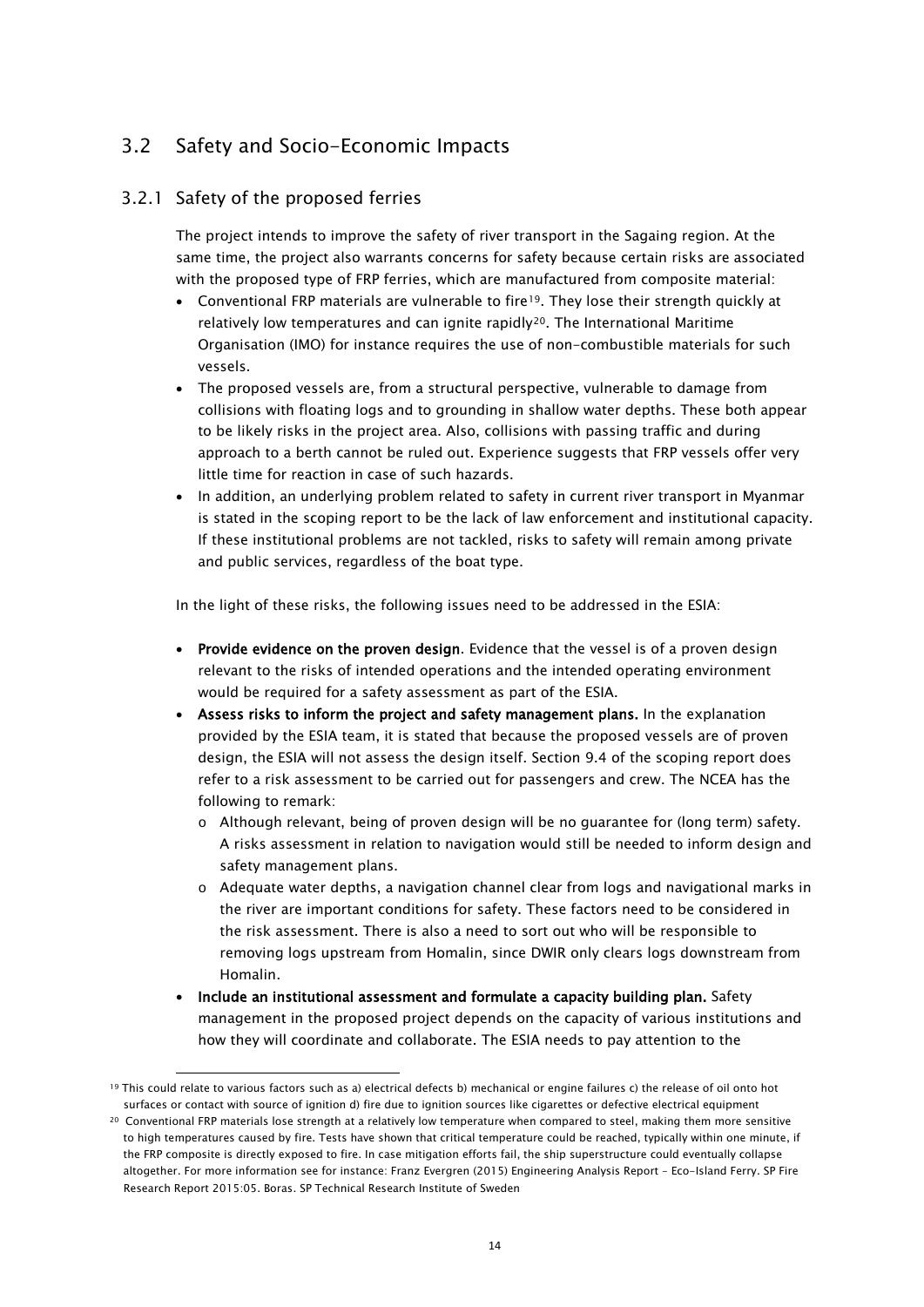### <span id="page-15-0"></span>3.2 Safety and Socio-Economic Impacts

### 3.2.1 Safety of the proposed ferries

<span id="page-15-1"></span>The project intends to improve the safety of river transport in the Sagaing region. At the same time, the project also warrants concerns for safety because certain risks are associated with the proposed type of FRP ferries, which are manufactured from composite material:

- Conventional FRP materials are vulnerable to fire<sup>[19](#page-15-2)</sup>. They lose their strength quickly at relatively low temperatures and can ignite rapidly[20.](#page-15-3) The International Maritime Organisation (IMO) for instance requires the use of non-combustible materials for such vessels.
- The proposed vessels are, from a structural perspective, vulnerable to damage from collisions with floating logs and to grounding in shallow water depths. These both appear to be likely risks in the project area. Also, collisions with passing traffic and during approach to a berth cannot be ruled out. Experience suggests that FRP vessels offer very little time for reaction in case of such hazards.
- In addition, an underlying problem related to safety in current river transport in Myanmar is stated in the scoping report to be the lack of law enforcement and institutional capacity. If these institutional problems are not tackled, risks to safety will remain among private and public services, regardless of the boat type.

In the light of these risks, the following issues need to be addressed in the ESIA:

- Provide evidence on the proven design. Evidence that the vessel is of a proven design relevant to the risks of intended operations and the intended operating environment would be required for a safety assessment as part of the ESIA.
- Assess risks to inform the project and safety management plans. In the explanation provided by the ESIA team, it is stated that because the proposed vessels are of proven design, the ESIA will not assess the design itself. Section 9.4 of the scoping report does refer to a risk assessment to be carried out for passengers and crew. The NCEA has the following to remark:
	- o Although relevant, being of proven design will be no guarantee for (long term) safety. A risks assessment in relation to navigation would still be needed to inform design and safety management plans.
	- o Adequate water depths, a navigation channel clear from logs and navigational marks in the river are important conditions for safety. These factors need to be considered in the risk assessment. There is also a need to sort out who will be responsible to removing logs upstream from Homalin, since DWIR only clears logs downstream from Homalin.
- Include an institutional assessment and formulate a capacity building plan. Safety management in the proposed project depends on the capacity of various institutions and how they will coordinate and collaborate. The ESIA needs to pay attention to the

<span id="page-15-2"></span><sup>19</sup> This could relate to various factors such as a) electrical defects b) mechanical or engine failures c) the release of oil onto hot surfaces or contact with source of ignition d) fire due to ignition sources like cigarettes or defective electrical equipment

<span id="page-15-3"></span><sup>&</sup>lt;sup>20</sup> Conventional FRP materials lose strength at a relatively low temperature when compared to steel, making them more sensitive to high temperatures caused by fire. Tests have shown that critical temperature could be reached, typically within one minute, if the FRP composite is directly exposed to fire. In case mitigation efforts fail, the ship superstructure could eventually collapse altogether. For more information see for instance: Franz Evergren (2015) Engineering Analysis Report – Eco-Island Ferry. SP Fire Research Report 2015:05. Boras. SP Technical Research Institute of Sweden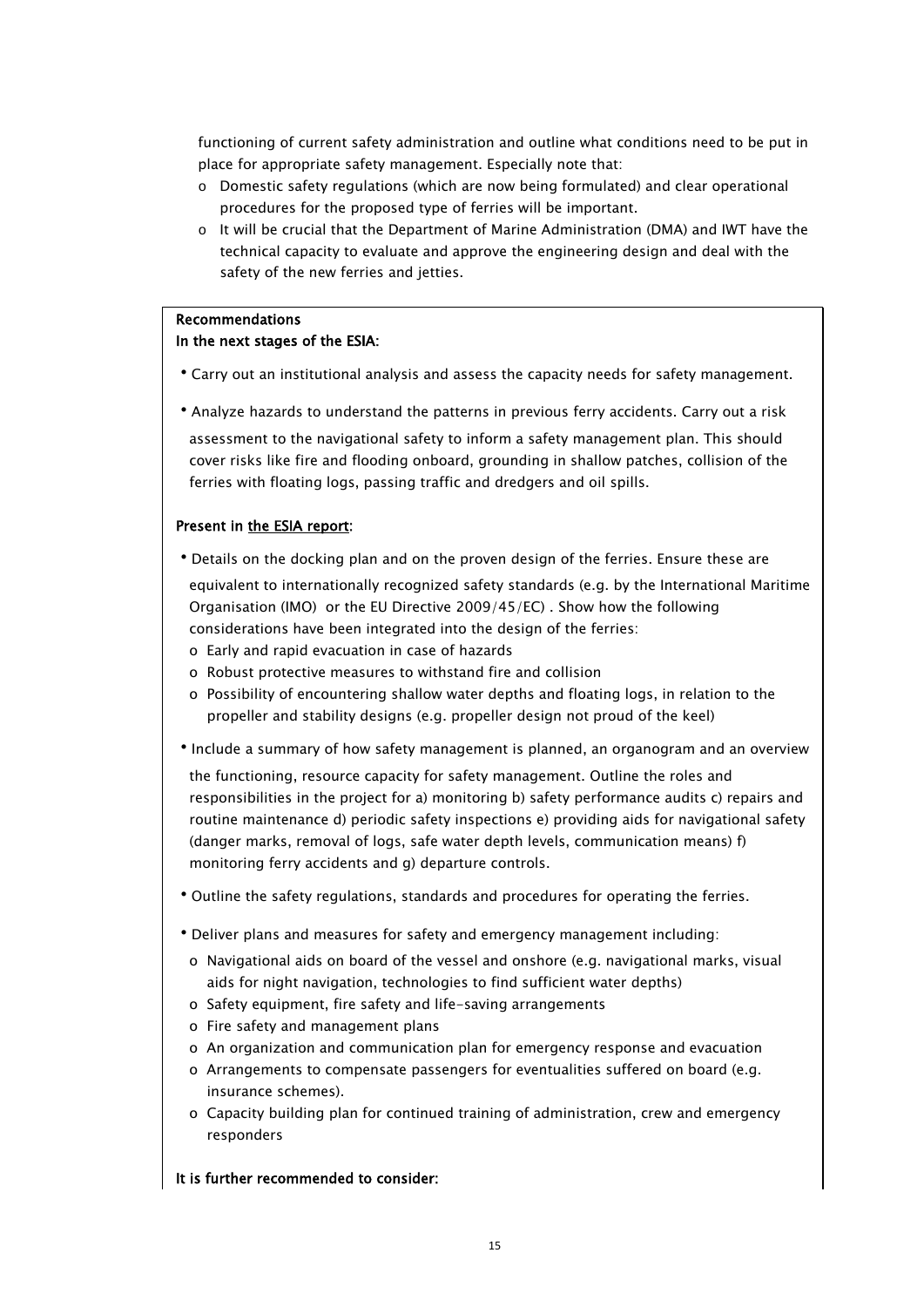functioning of current safety administration and outline what conditions need to be put in place for appropriate safety management. Especially note that:

- o Domestic safety regulations (which are now being formulated) and clear operational procedures for the proposed type of ferries will be important.
- o It will be crucial that the Department of Marine Administration (DMA) and IWT have the technical capacity to evaluate and approve the engineering design and deal with the safety of the new ferries and jetties.

### Recommendations In the next stages of the ESIA:

- •Carry out an institutional analysis and assess the capacity needs for safety management.
- •Analyze hazards to understand the patterns in previous ferry accidents. Carry out a risk assessment to the navigational safety to inform a safety management plan. This should cover risks like fire and flooding onboard, grounding in shallow patches, collision of the ferries with floating logs, passing traffic and dredgers and oil spills.

#### Present in the ESIA report:

•Details on the docking plan and on the proven design of the ferries. Ensure these are

 equivalent to internationally recognized safety standards (e.g. by the International Maritime Organisation (IMO) or the EU Directive 2009/45/EC) . Show how the following considerations have been integrated into the design of the ferries:

- o Early and rapid evacuation in case of hazards
- o Robust protective measures to withstand fire and collision
- o Possibility of encountering shallow water depths and floating logs, in relation to the propeller and stability designs (e.g. propeller design not proud of the keel)
- •Include a summary of how safety management is planned, an organogram and an overview

 the functioning, resource capacity for safety management. Outline the roles and responsibilities in the project for a) monitoring b) safety performance audits c) repairs and routine maintenance d) periodic safety inspections e) providing aids for navigational safety (danger marks, removal of logs, safe water depth levels, communication means) f) monitoring ferry accidents and g) departure controls.

- •Outline the safety regulations, standards and procedures for operating the ferries.
- •Deliver plans and measures for safety and emergency management including:
- o Navigational aids on board of the vessel and onshore (e.g. navigational marks, visual aids for night navigation, technologies to find sufficient water depths)
- o Safety equipment, fire safety and life-saving arrangements
- o Fire safety and management plans
- o An organization and communication plan for emergency response and evacuation
- o Arrangements to compensate passengers for eventualities suffered on board (e.g. insurance schemes).
- o Capacity building plan for continued training of administration, crew and emergency responders

#### It is further recommended to consider: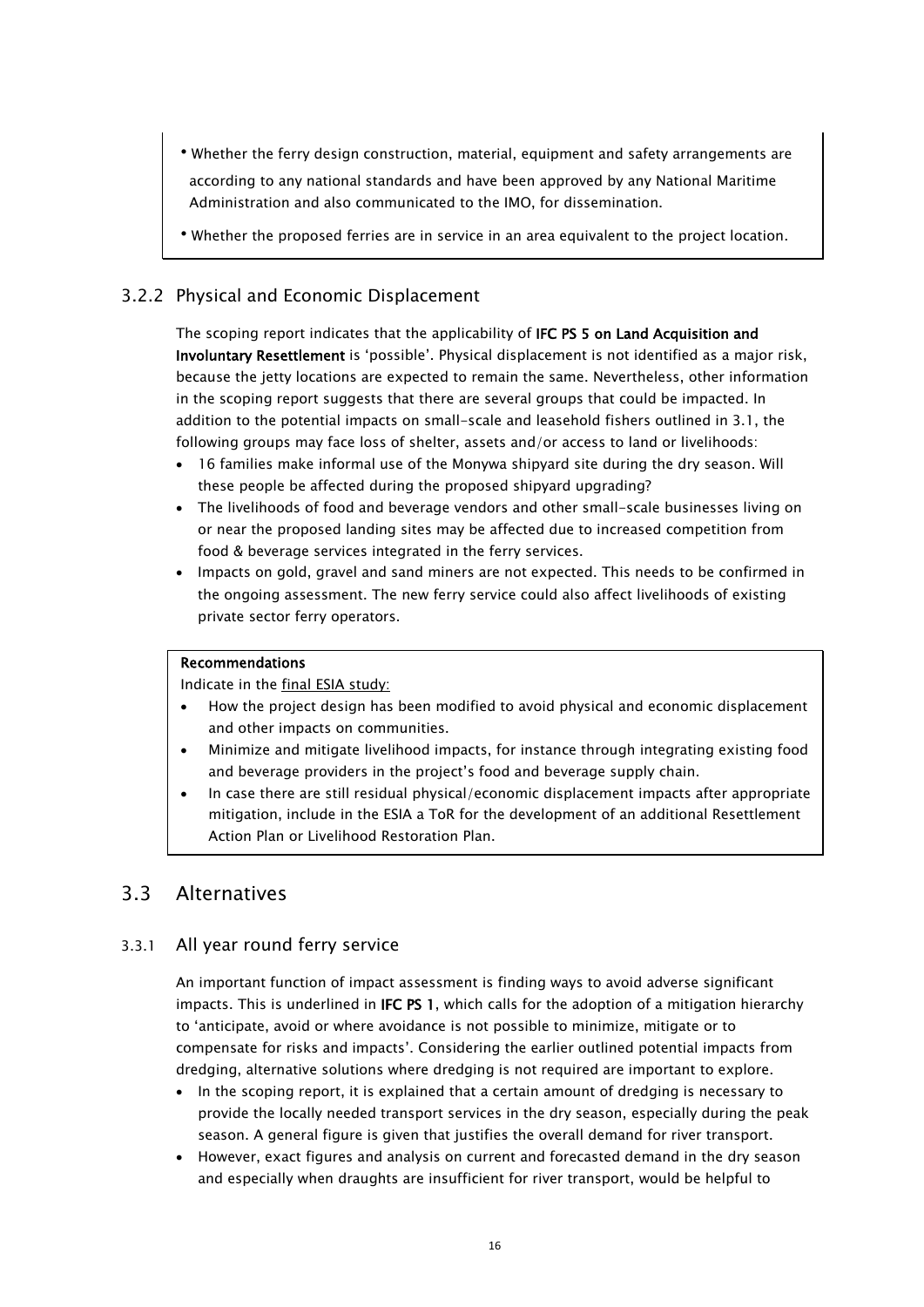- •Whether the ferry design construction, material, equipment and safety arrangements are according to any national standards and have been approved by any National Maritime Administration and also communicated to the IMO, for dissemination.
- <span id="page-17-0"></span>•Whether the proposed ferries are in service in an area equivalent to the project location.

### 3.2.2 Physical and Economic Displacement

The scoping report indicates that the applicability of IFC PS 5 on Land Acquisition and Involuntary Resettlement is 'possible'. Physical displacement is not identified as a major risk, because the jetty locations are expected to remain the same. Nevertheless, other information in the scoping report suggests that there are several groups that could be impacted. In addition to the potential impacts on small-scale and leasehold fishers outlined in 3.1, the following groups may face loss of shelter, assets and/or access to land or livelihoods:

- 16 families make informal use of the Monywa shipyard site during the dry season. Will these people be affected during the proposed shipyard upgrading?
- The livelihoods of food and beverage vendors and other small-scale businesses living on or near the proposed landing sites may be affected due to increased competition from food & beverage services integrated in the ferry services.
- Impacts on gold, gravel and sand miners are not expected. This needs to be confirmed in the ongoing assessment. The new ferry service could also affect livelihoods of existing private sector ferry operators.

#### Recommendations

Indicate in the final ESIA study:

- How the project design has been modified to avoid physical and economic displacement and other impacts on communities.
- Minimize and mitigate livelihood impacts, for instance through integrating existing food and beverage providers in the project's food and beverage supply chain.
- In case there are still residual physical/economic displacement impacts after appropriate mitigation, include in the ESIA a ToR for the development of an additional Resettlement Action Plan or Livelihood Restoration Plan.

### <span id="page-17-1"></span>3.3 Alternatives

### 3.3.1 All year round ferry service

<span id="page-17-2"></span>An important function of impact assessment is finding ways to avoid adverse significant impacts. This is underlined in **IFC PS 1**, which calls for the adoption of a mitigation hierarchy to 'anticipate, avoid or where avoidance is not possible to minimize, mitigate or to compensate for risks and impacts'. Considering the earlier outlined potential impacts from dredging, alternative solutions where dredging is not required are important to explore.

- In the scoping report, it is explained that a certain amount of dredging is necessary to provide the locally needed transport services in the dry season, especially during the peak season. A general figure is given that justifies the overall demand for river transport.
- However, exact figures and analysis on current and forecasted demand in the dry season and especially when draughts are insufficient for river transport, would be helpful to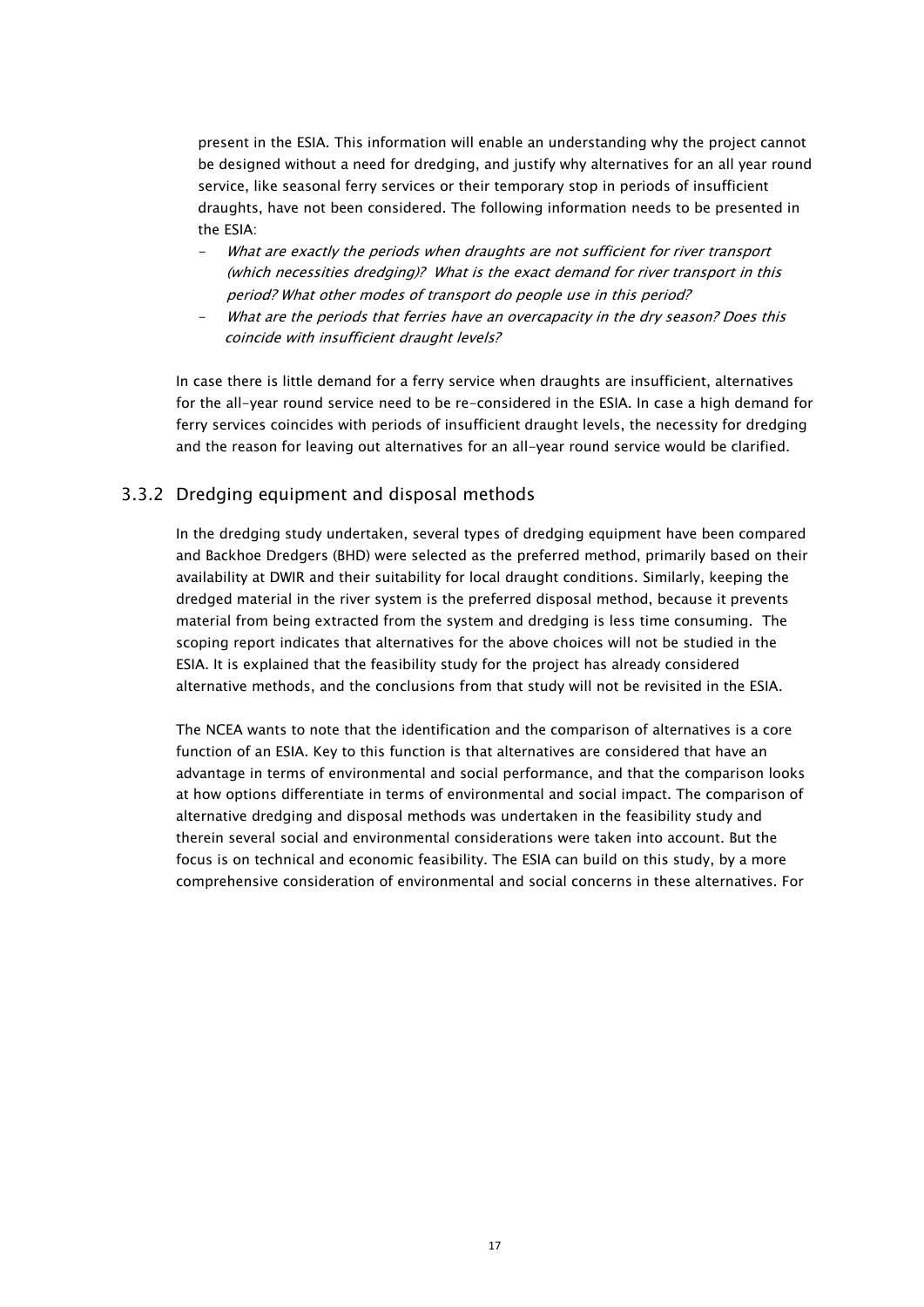present in the ESIA. This information will enable an understanding why the project cannot be designed without a need for dredging, and justify why alternatives for an all year round service, like seasonal ferry services or their temporary stop in periods of insufficient draughts, have not been considered. The following information needs to be presented in the ESIA:

- What are exactly the periods when draughts are not sufficient for river transport (which necessities dredging)? What is the exact demand for river transport in this period? What other modes of transport do people use in this period?
- What are the periods that ferries have an overcapacity in the dry season? Does this coincide with insufficient draught levels?

In case there is little demand for a ferry service when draughts are insufficient, alternatives for the all-year round service need to be re-considered in the ESIA. In case a high demand for ferry services coincides with periods of insufficient draught levels, the necessity for dredging and the reason for leaving out alternatives for an all-year round service would be clarified.

### <span id="page-18-0"></span>3.3.2 Dredging equipment and disposal methods

In the dredging study undertaken, several types of dredging equipment have been compared and Backhoe Dredgers (BHD) were selected as the preferred method, primarily based on their availability at DWIR and their suitability for local draught conditions. Similarly, keeping the dredged material in the river system is the preferred disposal method, because it prevents material from being extracted from the system and dredging is less time consuming. The scoping report indicates that alternatives for the above choices will not be studied in the ESIA. It is explained that the feasibility study for the project has already considered alternative methods, and the conclusions from that study will not be revisited in the ESIA.

The NCEA wants to note that the identification and the comparison of alternatives is a core function of an ESIA. Key to this function is that alternatives are considered that have an advantage in terms of environmental and social performance, and that the comparison looks at how options differentiate in terms of environmental and social impact. The comparison of alternative dredging and disposal methods was undertaken in the feasibility study and therein several social and environmental considerations were taken into account. But the focus is on technical and economic feasibility. The ESIA can build on this study, by a more comprehensive consideration of environmental and social concerns in these alternatives. For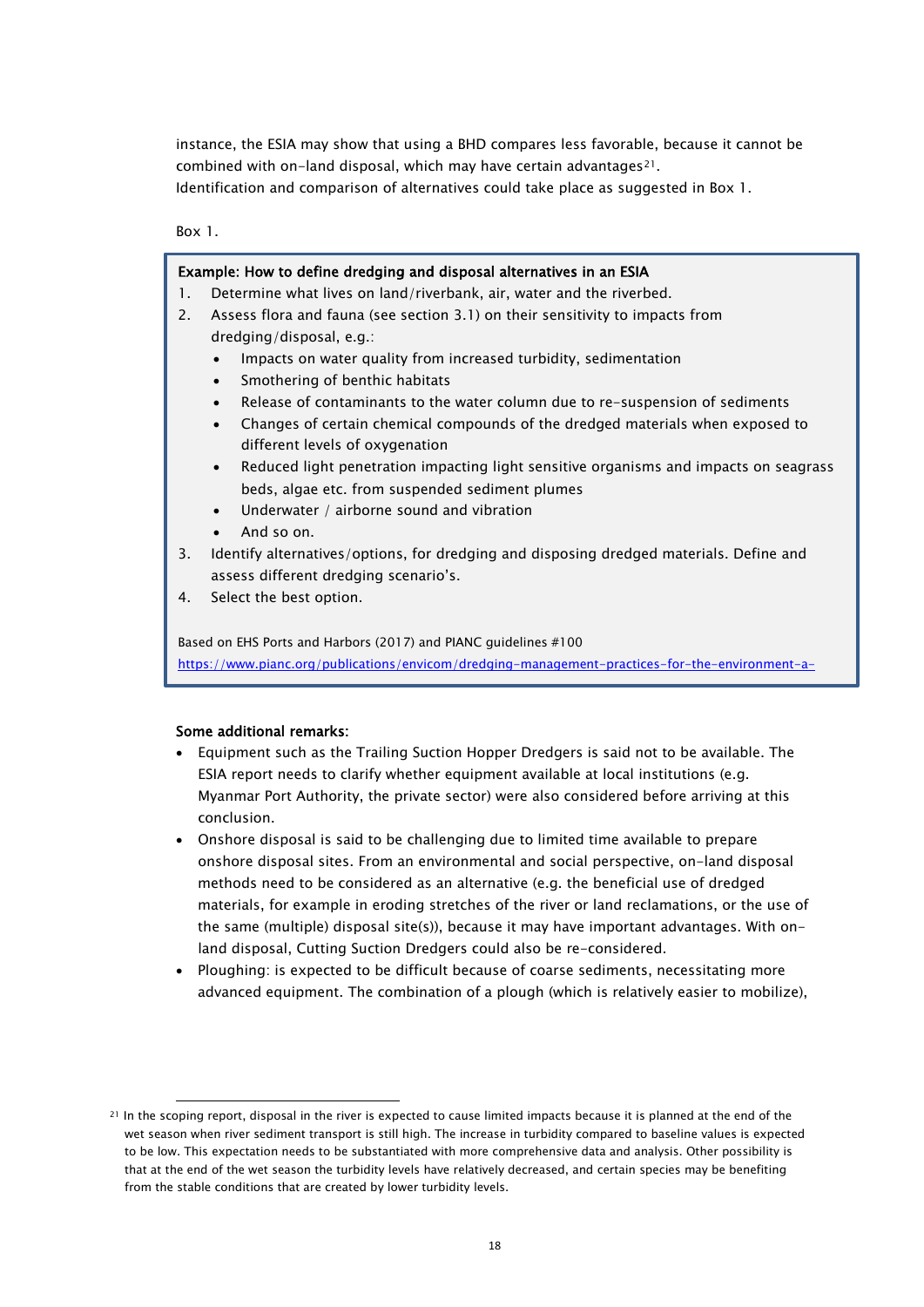instance, the ESIA may show that using a BHD compares less favorable, because it cannot be combined with on-land disposal, which may have certain advantages[21.](#page-19-0) Identification and comparison of alternatives could take place as suggested in Box 1.

Box 1.

#### Example: How to define dredging and disposal alternatives in an ESIA

- 1. Determine what lives on land/riverbank, air, water and the riverbed.
- 2. Assess flora and fauna (see section 3.1) on their sensitivity to impacts from dredging/disposal, e.g.:
	- Impacts on water quality from increased turbidity, sedimentation
	- Smothering of benthic habitats
	- Release of contaminants to the water column due to re-suspension of sediments
	- Changes of certain chemical compounds of the dredged materials when exposed to different levels of oxygenation
	- Reduced light penetration impacting light sensitive organisms and impacts on seagrass beds, algae etc. from suspended sediment plumes
	- Underwater / airborne sound and vibration
	- And so on.
- $3.$ 3. Identify alternatives/options, for dredging and disposing dredged materials. Define and assess different dredging scenario's.
- $\overline{4}$ Select the best option.

 [https://www.pianc.org/publications/envicom/dredging-management-practices-for-the-environment-a-](https://www.pianc.org/publications/envicom/dredging-management-practices-for-the-environment-a-structured-selection-approach)Based on EHS Ports and Harbors (2017) and PIANC guidelines #100

#### Some additional remarks:

Ī

- Equipment such as the Trailing Suction Hopper Dredgers is said not to be available. The ESIA report needs to clarify whether equipment available at local institutions (e.g. Myanmar Port Authority, the private sector) were also considered before arriving at this conclusion.
- Onshore disposal is said to be challenging due to limited time available to prepare onshore disposal sites. From an environmental and social perspective, on-land disposal methods need to be considered as an alternative (e.g. the beneficial use of dredged materials, for example in eroding stretches of the river or land reclamations, or the use of the same (multiple) disposal site(s)), because it may have important advantages. With onland disposal, Cutting Suction Dredgers could also be re-considered.
- Ploughing: is expected to be difficult because of coarse sediments, necessitating more advanced equipment. The combination of a plough (which is relatively easier to mobilize),

<span id="page-19-0"></span><sup>&</sup>lt;sup>21</sup> In the scoping report, disposal in the river is expected to cause limited impacts because it is planned at the end of the wet season when river sediment transport is still high. The increase in turbidity compared to baseline values is expected to be low. This expectation needs to be substantiated with more comprehensive data and analysis. Other possibility is that at the end of the wet season the turbidity levels have relatively decreased, and certain species may be benefiting from the stable conditions that are created by lower turbidity levels.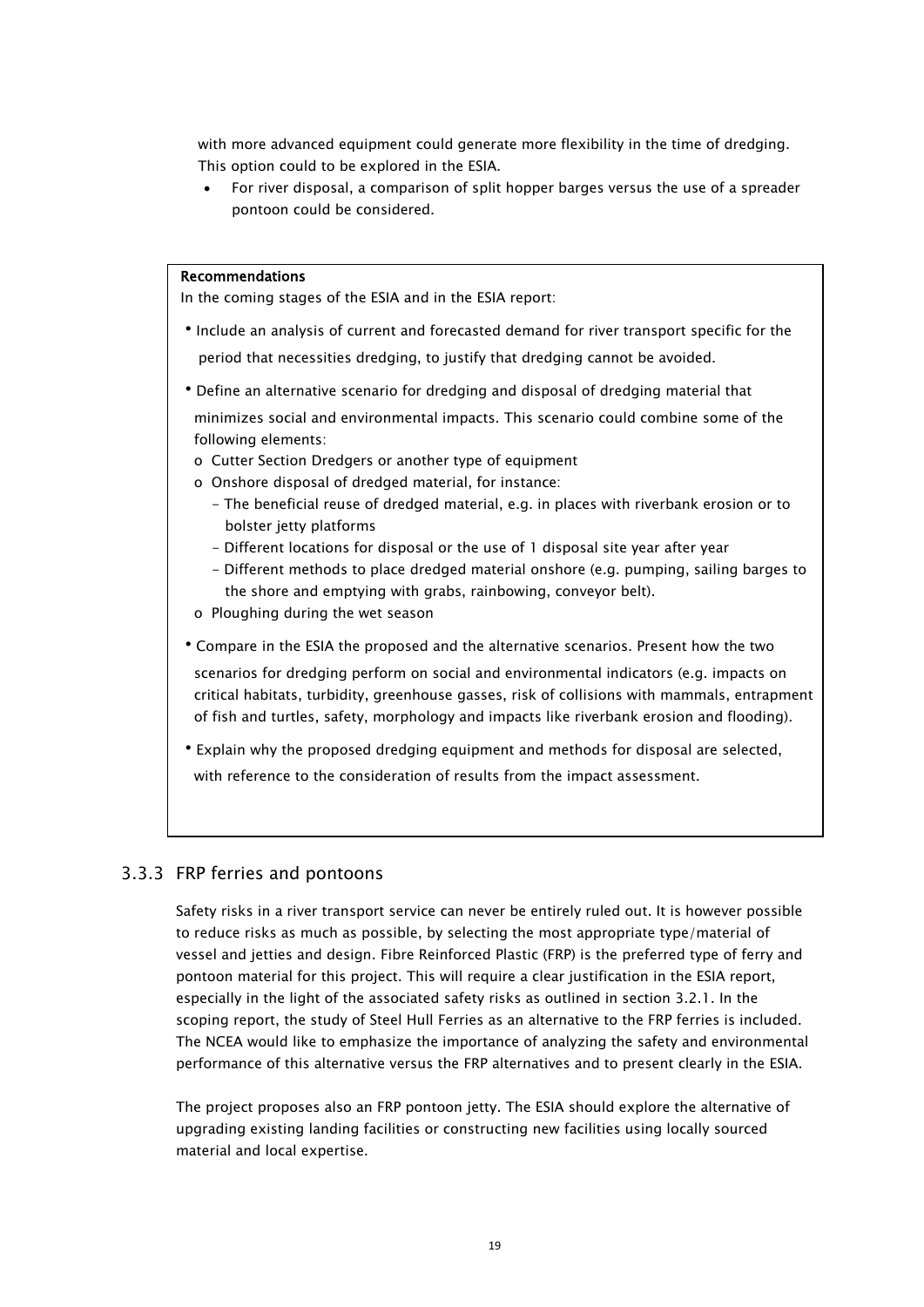with more advanced equipment could generate more flexibility in the time of dredging. This option could to be explored in the ESIA.

• For river disposal, a comparison of split hopper barges versus the use of a spreader pontoon could be considered.

#### Recommendations

In the coming stages of the ESIA and in the ESIA report:

- •Include an analysis of current and forecasted demand for river transport specific for the period that necessities dredging, to justify that dredging cannot be avoided.
- •Define an alternative scenario for dredging and disposal of dredging material that minimizes social and environmental impacts. This scenario could combine some of the following elements:
	- o Cutter Section Dredgers or another type of equipment
	- o Onshore disposal of dredged material, for instance:
		- The beneficial reuse of dredged material, e.g. in places with riverbank erosion or to bolster jetty platforms
		- Different locations for disposal or the use of 1 disposal site year after year
		- Different methods to place dredged material onshore (e.g. pumping, sailing barges to the shore and emptying with grabs, rainbowing, conveyor belt).
	- o Ploughing during the wet season
- •Compare in the ESIA the proposed and the alternative scenarios. Present how the two

 scenarios for dredging perform on social and environmental indicators (e.g. impacts on critical habitats, turbidity, greenhouse gasses, risk of collisions with mammals, entrapment of fish and turtles, safety, morphology and impacts like riverbank erosion and flooding).

•Explain why the proposed dredging equipment and methods for disposal are selected, with reference to the consideration of results from the impact assessment.

### <span id="page-20-0"></span>3.3.3 FRP ferries and pontoons

Safety risks in a river transport service can never be entirely ruled out. It is however possible to reduce risks as much as possible, by selecting the most appropriate type/material of vessel and jetties and design. Fibre Reinforced Plastic (FRP) is the preferred type of ferry and pontoon material for this project. This will require a clear justification in the ESIA report, especially in the light of the associated safety risks as outlined in section 3.2.1. In the scoping report, the study of Steel Hull Ferries as an alternative to the FRP ferries is included. The NCEA would like to emphasize the importance of analyzing the safety and environmental performance of this alternative versus the FRP alternatives and to present clearly in the ESIA.

The project proposes also an FRP pontoon jetty. The ESIA should explore the alternative of upgrading existing landing facilities or constructing new facilities using locally sourced material and local expertise.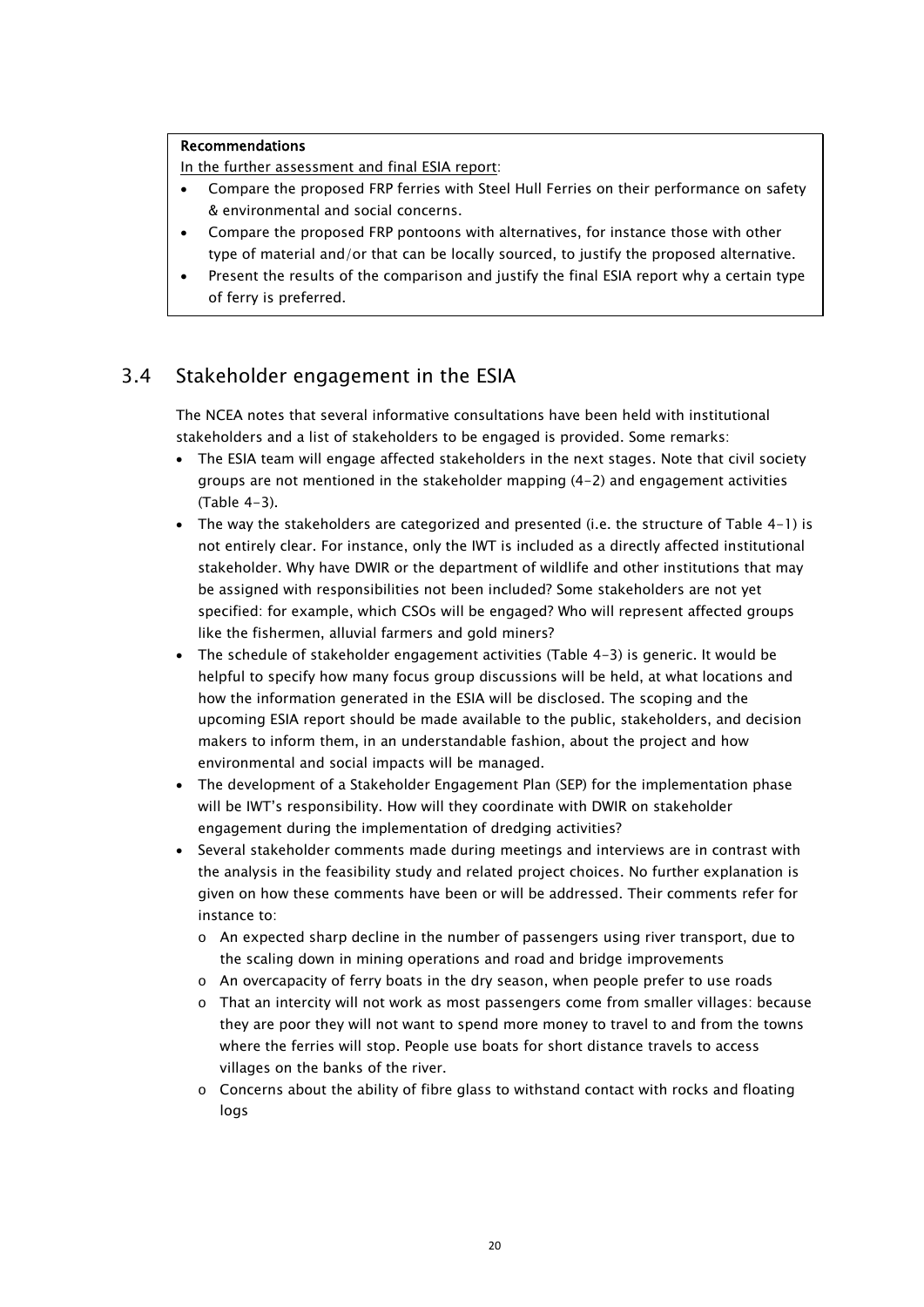#### Recommendations

In the further assessment and final ESIA report:

- Compare the proposed FRP ferries with Steel Hull Ferries on their performance on safety & environmental and social concerns.
- Compare the proposed FRP pontoons with alternatives, for instance those with other type of material and/or that can be locally sourced, to justify the proposed alternative.
- Present the results of the comparison and justify the final ESIA report why a certain type of ferry is preferred.

### <span id="page-21-0"></span>3.4 Stakeholder engagement in the ESIA

The NCEA notes that several informative consultations have been held with institutional stakeholders and a list of stakeholders to be engaged is provided. Some remarks:

- The ESIA team will engage affected stakeholders in the next stages. Note that civil society groups are not mentioned in the stakeholder mapping (4-2) and engagement activities (Table 4-3).
- The way the stakeholders are categorized and presented (i.e. the structure of Table 4-1) is not entirely clear. For instance, only the IWT is included as a directly affected institutional stakeholder. Why have DWIR or the department of wildlife and other institutions that may be assigned with responsibilities not been included? Some stakeholders are not yet specified: for example, which CSOs will be engaged? Who will represent affected groups like the fishermen, alluvial farmers and gold miners?
- The schedule of stakeholder engagement activities (Table 4-3) is generic. It would be helpful to specify how many focus group discussions will be held, at what locations and how the information generated in the ESIA will be disclosed. The scoping and the upcoming ESIA report should be made available to the public, stakeholders, and decision makers to inform them, in an understandable fashion, about the project and how environmental and social impacts will be managed.
- The development of a Stakeholder Engagement Plan (SEP) for the implementation phase will be IWT's responsibility. How will they coordinate with DWIR on stakeholder engagement during the implementation of dredging activities?
- Several stakeholder comments made during meetings and interviews are in contrast with the analysis in the feasibility study and related project choices. No further explanation is given on how these comments have been or will be addressed. Their comments refer for instance to:
	- o An expected sharp decline in the number of passengers using river transport, due to the scaling down in mining operations and road and bridge improvements
	- $\circ$  An overcapacity of ferry boats in the dry season, when people prefer to use roads
	- o That an intercity will not work as most passengers come from smaller villages: because they are poor they will not want to spend more money to travel to and from the towns where the ferries will stop. People use boats for short distance travels to access villages on the banks of the river.
	- $\circ$  Concerns about the ability of fibre glass to withstand contact with rocks and floating logs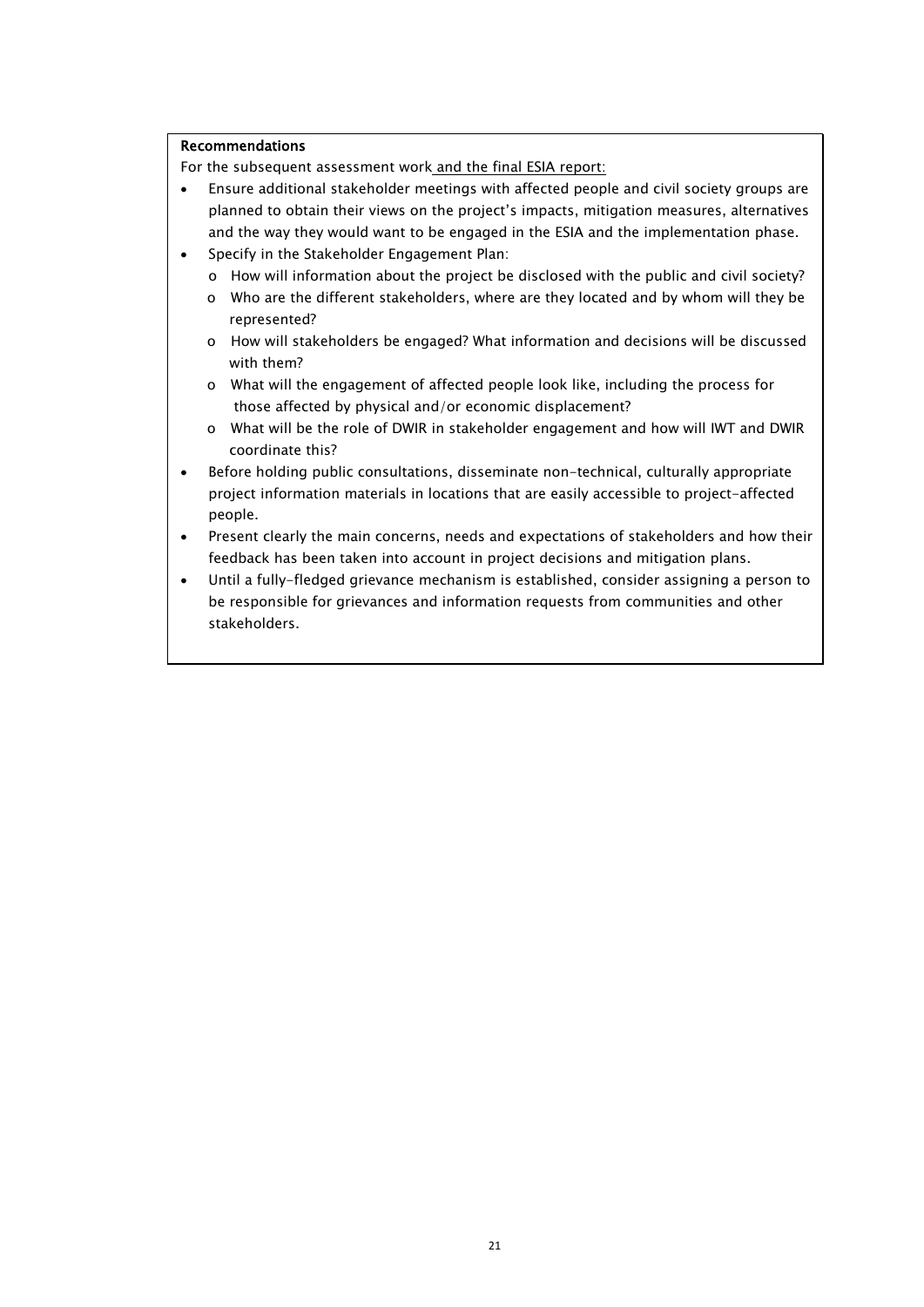### Recommendations

For the subsequent assessment work and the final ESIA report:

- Ensure additional stakeholder meetings with affected people and civil society groups are planned to obtain their views on the project's impacts, mitigation measures, alternatives and the way they would want to be engaged in the ESIA and the implementation phase.
- Specify in the Stakeholder Engagement Plan:
	- o How will information about the project be disclosed with the public and civil society?
	- o Who are the different stakeholders, where are they located and by whom will they be represented?
	- o How will stakeholders be engaged? What information and decisions will be discussed with them?
	- o What will the engagement of affected people look like, including the process for those affected by physical and/or economic displacement?
	- o What will be the role of DWIR in stakeholder engagement and how will IWT and DWIR coordinate this?
- Before holding public consultations, disseminate non-technical, culturally appropriate project information materials in locations that are easily accessible to project-affected people.
- Present clearly the main concerns, needs and expectations of stakeholders and how their feedback has been taken into account in project decisions and mitigation plans.
- Until a fully-fledged grievance mechanism is established, consider assigning a person to be responsible for grievances and information requests from communities and other stakeholders.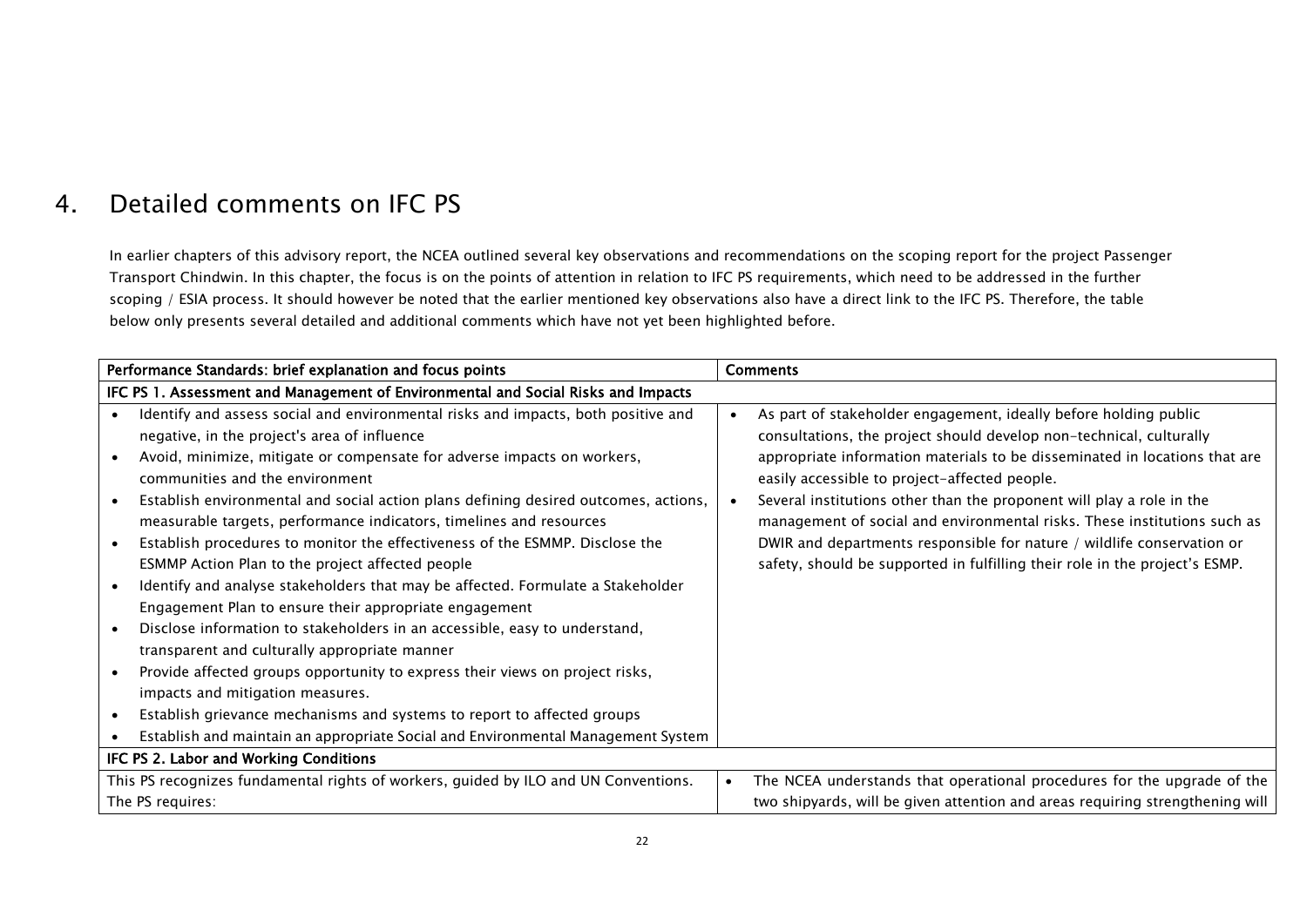# 4. Detailed comments on IFC PS

In earlier chapters of this advisory report, the NCEA outlined several key observations and recommendations on the scoping report for the project Passenger Transport Chindwin. In this chapter, the focus is on the points of attention in relation to IFC PS requirements, which need to be addressed in the further scoping / ESIA process. It should however be noted that the earlier mentioned key observations also have a direct link to the IFC PS. Therefore, the table below only presents several detailed and additional comments which have not yet been highlighted before.

<span id="page-23-0"></span>

|                                        | Performance Standards: brief explanation and focus points                                                                                                                                                    |                                                                               | <b>Comments</b>                                                                                                                                                                                                       |
|----------------------------------------|--------------------------------------------------------------------------------------------------------------------------------------------------------------------------------------------------------------|-------------------------------------------------------------------------------|-----------------------------------------------------------------------------------------------------------------------------------------------------------------------------------------------------------------------|
|                                        | IFC PS 1. Assessment and Management of Environmental and Social Risks and Impacts                                                                                                                            |                                                                               |                                                                                                                                                                                                                       |
|                                        | Identify and assess social and environmental risks and impacts, both positive and<br>negative, in the project's area of influence<br>Avoid, minimize, mitigate or compensate for adverse impacts on workers, | $\bullet$                                                                     | As part of stakeholder engagement, ideally before holding public<br>consultations, the project should develop non-technical, culturally<br>appropriate information materials to be disseminated in locations that are |
|                                        | communities and the environment                                                                                                                                                                              |                                                                               | easily accessible to project-affected people.                                                                                                                                                                         |
|                                        | Establish environmental and social action plans defining desired outcomes, actions,<br>measurable targets, performance indicators, timelines and resources                                                   |                                                                               | Several institutions other than the proponent will play a role in the<br>management of social and environmental risks. These institutions such as                                                                     |
|                                        | Establish procedures to monitor the effectiveness of the ESMMP. Disclose the<br>ESMMP Action Plan to the project affected people                                                                             |                                                                               | DWIR and departments responsible for nature / wildlife conservation or<br>safety, should be supported in fulfilling their role in the project's ESMP.                                                                 |
|                                        | Identify and analyse stakeholders that may be affected. Formulate a Stakeholder<br>Engagement Plan to ensure their appropriate engagement                                                                    |                                                                               |                                                                                                                                                                                                                       |
|                                        | Disclose information to stakeholders in an accessible, easy to understand,<br>transparent and culturally appropriate manner                                                                                  |                                                                               |                                                                                                                                                                                                                       |
|                                        | Provide affected groups opportunity to express their views on project risks,<br>impacts and mitigation measures.                                                                                             |                                                                               |                                                                                                                                                                                                                       |
|                                        | Establish grievance mechanisms and systems to report to affected groups                                                                                                                                      |                                                                               |                                                                                                                                                                                                                       |
|                                        | Establish and maintain an appropriate Social and Environmental Management System                                                                                                                             |                                                                               |                                                                                                                                                                                                                       |
| IFC PS 2. Labor and Working Conditions |                                                                                                                                                                                                              |                                                                               |                                                                                                                                                                                                                       |
|                                        | This PS recognizes fundamental rights of workers, guided by ILO and UN Conventions.                                                                                                                          | $\bullet$                                                                     | The NCEA understands that operational procedures for the upgrade of the                                                                                                                                               |
| The PS requires:                       |                                                                                                                                                                                                              | two shipyards, will be given attention and areas requiring strengthening will |                                                                                                                                                                                                                       |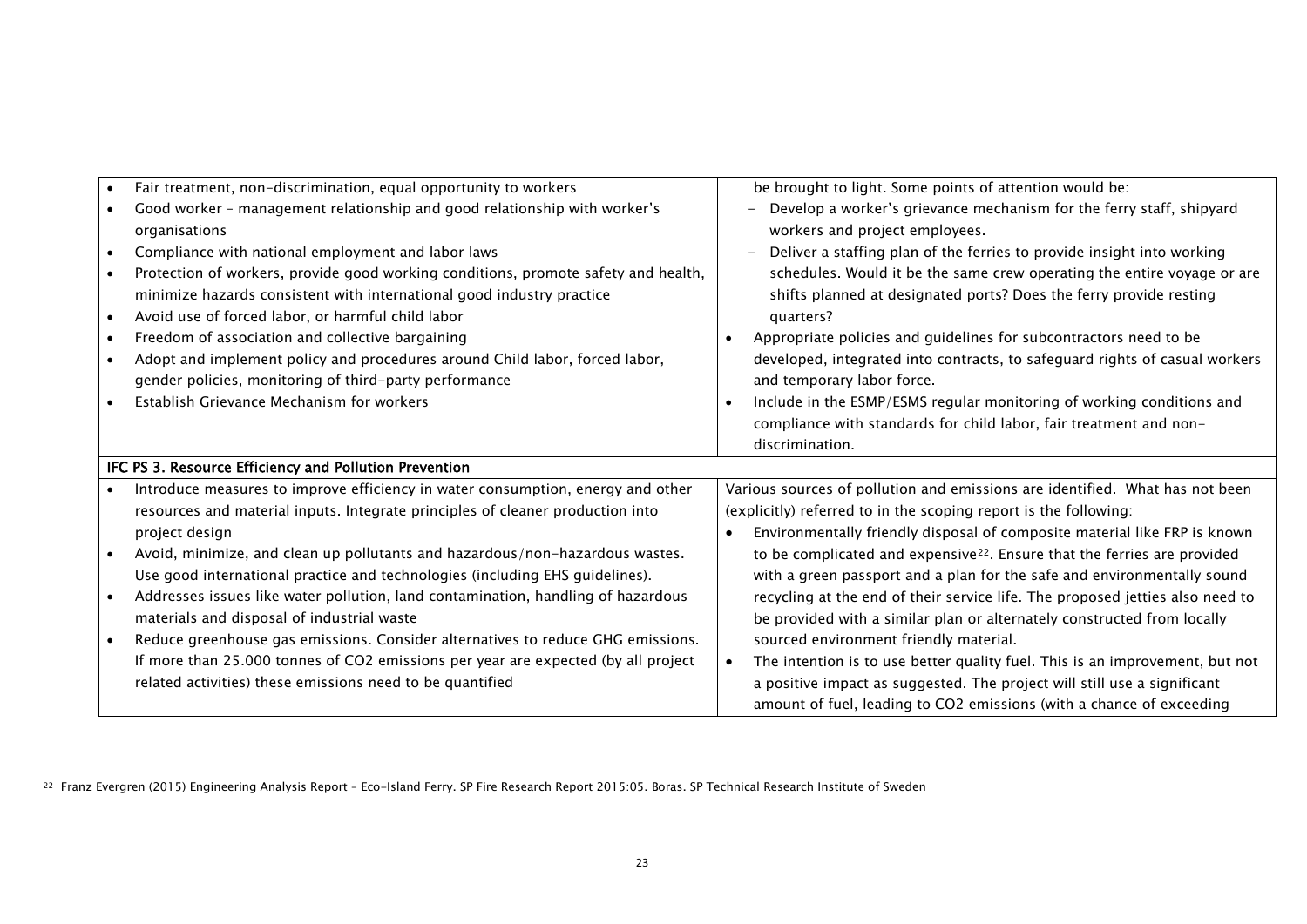<span id="page-24-0"></span>

|                                                        | Fair treatment, non-discrimination, equal opportunity to workers<br>$\bullet$      | be brought to light. Some points of attention would be:                                   |
|--------------------------------------------------------|------------------------------------------------------------------------------------|-------------------------------------------------------------------------------------------|
|                                                        | Good worker - management relationship and good relationship with worker's          | Develop a worker's grievance mechanism for the ferry staff, shipyard                      |
|                                                        | organisations                                                                      | workers and project employees.                                                            |
|                                                        | Compliance with national employment and labor laws                                 | Deliver a staffing plan of the ferries to provide insight into working                    |
|                                                        | Protection of workers, provide good working conditions, promote safety and health, | schedules. Would it be the same crew operating the entire voyage or are                   |
|                                                        | minimize hazards consistent with international good industry practice              | shifts planned at designated ports? Does the ferry provide resting                        |
|                                                        | Avoid use of forced labor, or harmful child labor<br>$\bullet$                     | quarters?                                                                                 |
|                                                        | Freedom of association and collective bargaining                                   | Appropriate policies and guidelines for subcontractors need to be                         |
|                                                        | Adopt and implement policy and procedures around Child labor, forced labor,        | developed, integrated into contracts, to safeguard rights of casual workers               |
|                                                        | gender policies, monitoring of third-party performance                             | and temporary labor force.                                                                |
|                                                        | Establish Grievance Mechanism for workers                                          | Include in the ESMP/ESMS regular monitoring of working conditions and                     |
|                                                        |                                                                                    | compliance with standards for child labor, fair treatment and non-                        |
|                                                        |                                                                                    | discrimination.                                                                           |
| IFC PS 3. Resource Efficiency and Pollution Prevention |                                                                                    |                                                                                           |
|                                                        | Introduce measures to improve efficiency in water consumption, energy and other    | Various sources of pollution and emissions are identified. What has not been              |
|                                                        | resources and material inputs. Integrate principles of cleaner production into     | (explicitly) referred to in the scoping report is the following:                          |
|                                                        | project design                                                                     | Environmentally friendly disposal of composite material like FRP is known<br>$\bullet$    |
|                                                        | Avoid, minimize, and clean up pollutants and hazardous/non-hazardous wastes.       | to be complicated and expensive <sup>22</sup> . Ensure that the ferries are provided      |
|                                                        | Use good international practice and technologies (including EHS guidelines).       | with a green passport and a plan for the safe and environmentally sound                   |
|                                                        | Addresses issues like water pollution, land contamination, handling of hazardous   | recycling at the end of their service life. The proposed jetties also need to             |
|                                                        | materials and disposal of industrial waste                                         | be provided with a similar plan or alternately constructed from locally                   |
|                                                        | Reduce greenhouse gas emissions. Consider alternatives to reduce GHG emissions.    | sourced environment friendly material.                                                    |
|                                                        | If more than 25.000 tonnes of CO2 emissions per year are expected (by all project  | The intention is to use better quality fuel. This is an improvement, but not<br>$\bullet$ |
|                                                        | related activities) these emissions need to be quantified                          | a positive impact as suggested. The project will still use a significant                  |
|                                                        |                                                                                    | amount of fuel, leading to CO2 emissions (with a chance of exceeding                      |

<sup>22</sup> Franz Evergren (2015) Engineering Analysis Report – Eco-Island Ferry. SP Fire Research Report 2015:05. Boras. SP Technical Research Institute of Sweden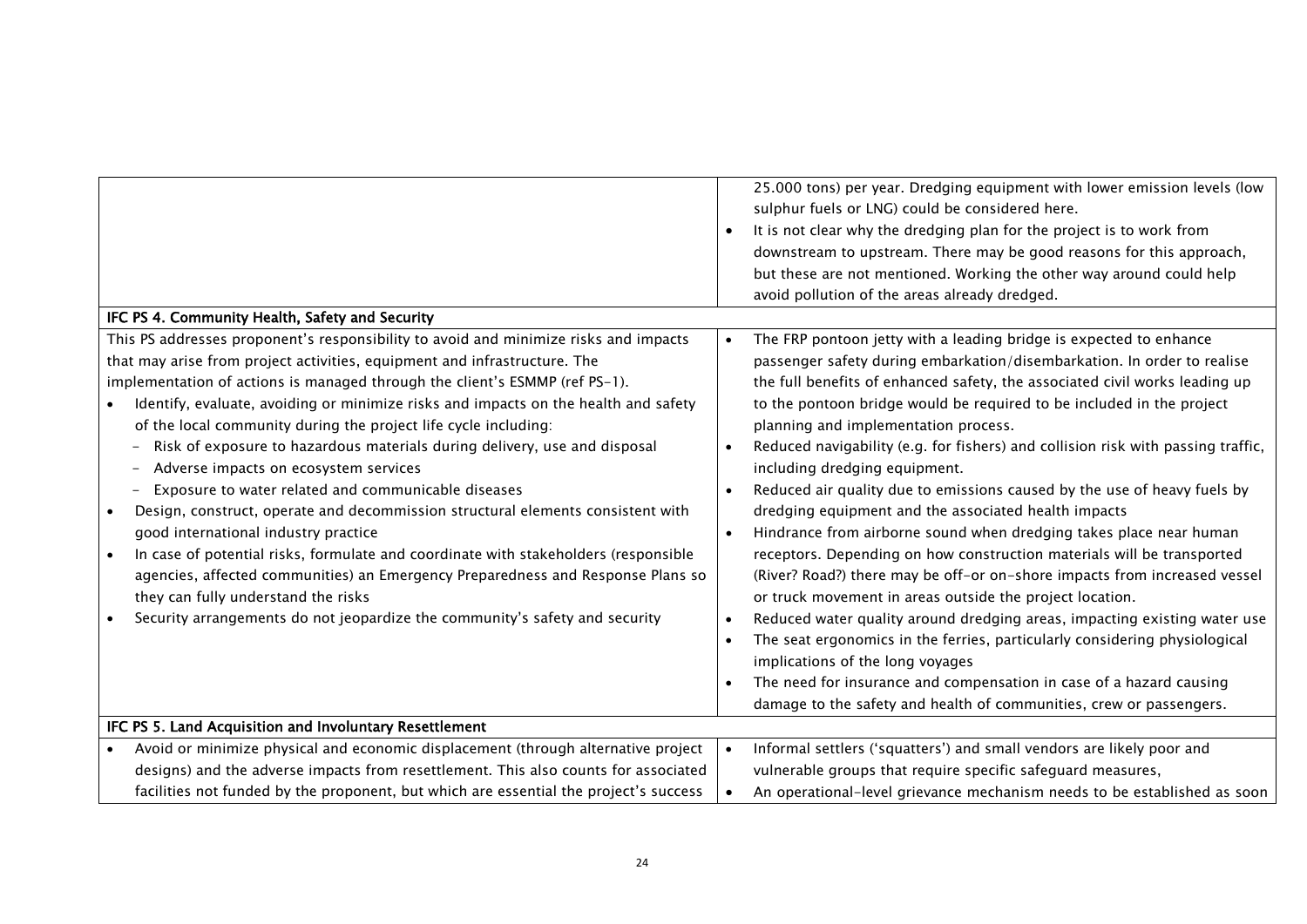|                                                                                                                                                                                                                                                                                                                                                                                                                                                                                                                                                                                                                                                                                                                                                                                                                                                                                                                                                                                                                    | 25.000 tons) per year. Dredging equipment with lower emission levels (low<br>sulphur fuels or LNG) could be considered here.<br>It is not clear why the dredging plan for the project is to work from<br>downstream to upstream. There may be good reasons for this approach,<br>but these are not mentioned. Working the other way around could help<br>avoid pollution of the areas already dredged.                                                                                                                                                                                                                                                                                                                                                                                                                                                                                                                                                                                                                                                                                                                                                                                                                                                                              |  |
|--------------------------------------------------------------------------------------------------------------------------------------------------------------------------------------------------------------------------------------------------------------------------------------------------------------------------------------------------------------------------------------------------------------------------------------------------------------------------------------------------------------------------------------------------------------------------------------------------------------------------------------------------------------------------------------------------------------------------------------------------------------------------------------------------------------------------------------------------------------------------------------------------------------------------------------------------------------------------------------------------------------------|-------------------------------------------------------------------------------------------------------------------------------------------------------------------------------------------------------------------------------------------------------------------------------------------------------------------------------------------------------------------------------------------------------------------------------------------------------------------------------------------------------------------------------------------------------------------------------------------------------------------------------------------------------------------------------------------------------------------------------------------------------------------------------------------------------------------------------------------------------------------------------------------------------------------------------------------------------------------------------------------------------------------------------------------------------------------------------------------------------------------------------------------------------------------------------------------------------------------------------------------------------------------------------------|--|
| IFC PS 4. Community Health, Safety and Security                                                                                                                                                                                                                                                                                                                                                                                                                                                                                                                                                                                                                                                                                                                                                                                                                                                                                                                                                                    |                                                                                                                                                                                                                                                                                                                                                                                                                                                                                                                                                                                                                                                                                                                                                                                                                                                                                                                                                                                                                                                                                                                                                                                                                                                                                     |  |
| This PS addresses proponent's responsibility to avoid and minimize risks and impacts<br>that may arise from project activities, equipment and infrastructure. The<br>implementation of actions is managed through the client's ESMMP (ref PS-1).<br>Identify, evaluate, avoiding or minimize risks and impacts on the health and safety<br>of the local community during the project life cycle including:<br>Risk of exposure to hazardous materials during delivery, use and disposal<br>Adverse impacts on ecosystem services<br>Exposure to water related and communicable diseases<br>Design, construct, operate and decommission structural elements consistent with<br>good international industry practice<br>In case of potential risks, formulate and coordinate with stakeholders (responsible<br>agencies, affected communities) an Emergency Preparedness and Response Plans so<br>they can fully understand the risks<br>Security arrangements do not jeopardize the community's safety and security | The FRP pontoon jetty with a leading bridge is expected to enhance<br>$\bullet$<br>passenger safety during embarkation/disembarkation. In order to realise<br>the full benefits of enhanced safety, the associated civil works leading up<br>to the pontoon bridge would be required to be included in the project<br>planning and implementation process.<br>Reduced navigability (e.g. for fishers) and collision risk with passing traffic,<br>including dredging equipment.<br>Reduced air quality due to emissions caused by the use of heavy fuels by<br>$\bullet$<br>dredging equipment and the associated health impacts<br>Hindrance from airborne sound when dredging takes place near human<br>$\bullet$<br>receptors. Depending on how construction materials will be transported<br>(River? Road?) there may be off-or on-shore impacts from increased vessel<br>or truck movement in areas outside the project location.<br>Reduced water quality around dredging areas, impacting existing water use<br>The seat ergonomics in the ferries, particularly considering physiological<br>implications of the long voyages<br>The need for insurance and compensation in case of a hazard causing<br>damage to the safety and health of communities, crew or passengers. |  |
| IFC PS 5. Land Acquisition and Involuntary Resettlement                                                                                                                                                                                                                                                                                                                                                                                                                                                                                                                                                                                                                                                                                                                                                                                                                                                                                                                                                            |                                                                                                                                                                                                                                                                                                                                                                                                                                                                                                                                                                                                                                                                                                                                                                                                                                                                                                                                                                                                                                                                                                                                                                                                                                                                                     |  |
| Avoid or minimize physical and economic displacement (through alternative project                                                                                                                                                                                                                                                                                                                                                                                                                                                                                                                                                                                                                                                                                                                                                                                                                                                                                                                                  | Informal settlers ('squatters') and small vendors are likely poor and<br>$\bullet$                                                                                                                                                                                                                                                                                                                                                                                                                                                                                                                                                                                                                                                                                                                                                                                                                                                                                                                                                                                                                                                                                                                                                                                                  |  |
| designs) and the adverse impacts from resettlement. This also counts for associated                                                                                                                                                                                                                                                                                                                                                                                                                                                                                                                                                                                                                                                                                                                                                                                                                                                                                                                                | vulnerable groups that require specific safeguard measures,                                                                                                                                                                                                                                                                                                                                                                                                                                                                                                                                                                                                                                                                                                                                                                                                                                                                                                                                                                                                                                                                                                                                                                                                                         |  |
| facilities not funded by the proponent, but which are essential the project's success                                                                                                                                                                                                                                                                                                                                                                                                                                                                                                                                                                                                                                                                                                                                                                                                                                                                                                                              | An operational-level grievance mechanism needs to be established as soon                                                                                                                                                                                                                                                                                                                                                                                                                                                                                                                                                                                                                                                                                                                                                                                                                                                                                                                                                                                                                                                                                                                                                                                                            |  |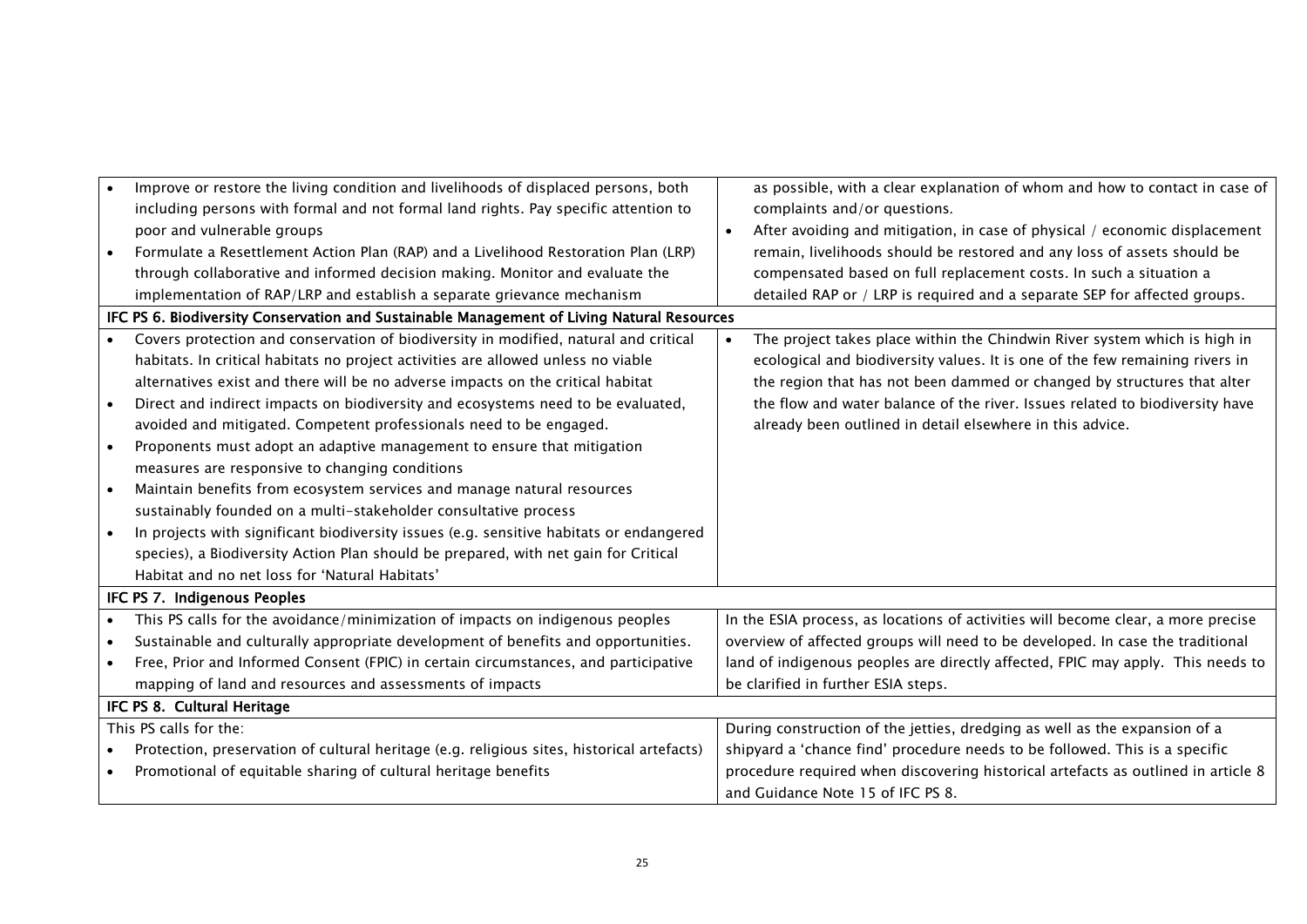|           | Improve or restore the living condition and livelihoods of displaced persons, both         | as possible, with a clear explanation of whom and how to contact in case of       |
|-----------|--------------------------------------------------------------------------------------------|-----------------------------------------------------------------------------------|
|           | including persons with formal and not formal land rights. Pay specific attention to        | complaints and/or questions.                                                      |
|           | poor and vulnerable groups                                                                 | After avoiding and mitigation, in case of physical / economic displacement        |
|           | Formulate a Resettlement Action Plan (RAP) and a Livelihood Restoration Plan (LRP)         | remain, livelihoods should be restored and any loss of assets should be           |
|           | through collaborative and informed decision making. Monitor and evaluate the               | compensated based on full replacement costs. In such a situation a                |
|           | implementation of RAP/LRP and establish a separate grievance mechanism                     | detailed RAP or / LRP is required and a separate SEP for affected groups.         |
|           | IFC PS 6. Biodiversity Conservation and Sustainable Management of Living Natural Resources |                                                                                   |
|           | Covers protection and conservation of biodiversity in modified, natural and critical       | The project takes place within the Chindwin River system which is high in         |
|           | habitats. In critical habitats no project activities are allowed unless no viable          | ecological and biodiversity values. It is one of the few remaining rivers in      |
|           | alternatives exist and there will be no adverse impacts on the critical habitat            | the region that has not been dammed or changed by structures that alter           |
| $\bullet$ | Direct and indirect impacts on biodiversity and ecosystems need to be evaluated,           | the flow and water balance of the river. Issues related to biodiversity have      |
|           | avoided and mitigated. Competent professionals need to be engaged.                         | already been outlined in detail elsewhere in this advice.                         |
| $\bullet$ | Proponents must adopt an adaptive management to ensure that mitigation                     |                                                                                   |
|           | measures are responsive to changing conditions                                             |                                                                                   |
| $\bullet$ | Maintain benefits from ecosystem services and manage natural resources                     |                                                                                   |
|           | sustainably founded on a multi-stakeholder consultative process                            |                                                                                   |
|           | In projects with significant biodiversity issues (e.g. sensitive habitats or endangered    |                                                                                   |
|           | species), a Biodiversity Action Plan should be prepared, with net gain for Critical        |                                                                                   |
|           | Habitat and no net loss for 'Natural Habitats'                                             |                                                                                   |
|           | IFC PS 7. Indigenous Peoples                                                               |                                                                                   |
|           | This PS calls for the avoidance/minimization of impacts on indigenous peoples              | In the ESIA process, as locations of activities will become clear, a more precise |
|           | Sustainable and culturally appropriate development of benefits and opportunities.          | overview of affected groups will need to be developed. In case the traditional    |
|           | Free, Prior and Informed Consent (FPIC) in certain circumstances, and participative        | land of indigenous peoples are directly affected, FPIC may apply. This needs to   |
|           | mapping of land and resources and assessments of impacts                                   | be clarified in further ESIA steps.                                               |
|           | IFC PS 8. Cultural Heritage                                                                |                                                                                   |
|           | This PS calls for the:                                                                     | During construction of the jetties, dredging as well as the expansion of a        |
|           | Protection, preservation of cultural heritage (e.g. religious sites, historical artefacts) | shipyard a 'chance find' procedure needs to be followed. This is a specific       |
|           | Promotional of equitable sharing of cultural heritage benefits                             | procedure required when discovering historical artefacts as outlined in article 8 |
|           |                                                                                            | and Guidance Note 15 of IFC PS 8.                                                 |
|           |                                                                                            |                                                                                   |